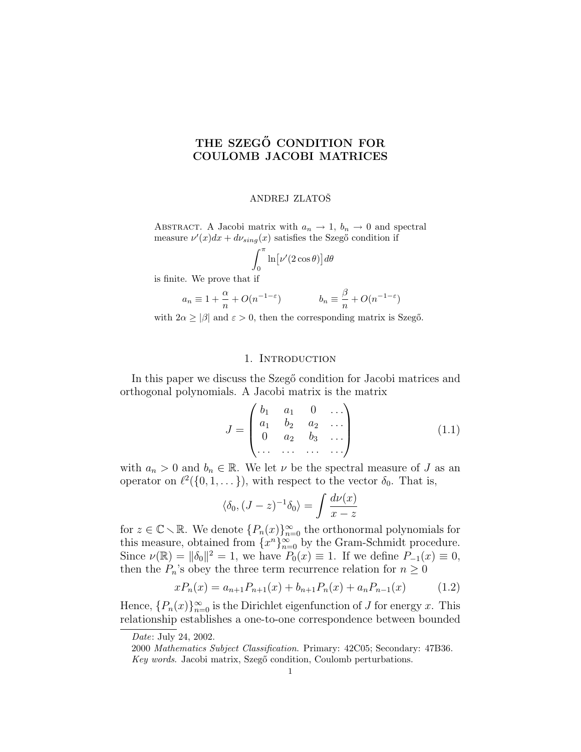# THE SZEGŐ CONDITION FOR COULOMB JACOBI MATRICES

## ANDREJ ZLATOŠ

ABSTRACT. A Jacobi matrix with  $a_n \to 1$ ,  $b_n \to 0$  and spectral measure  $\nu'(x)dx + d\nu_{sing}(x)$  satisfies the Szegő condition if

$$
\int_0^\pi \ln \left[\nu'(2\cos\theta)\right] d\theta
$$

is finite. We prove that if

$$
a_n \equiv 1 + \frac{\alpha}{n} + O(n^{-1-\varepsilon}) \qquad \qquad b_n \equiv \frac{\beta}{n} + O(n^{-1-\varepsilon})
$$

with  $2\alpha \geq |\beta|$  and  $\varepsilon > 0$ , then the corresponding matrix is Szegő.

## 1. Introduction

In this paper we discuss the Szeg $\ddot{\circ}$  condition for Jacobi matrices and orthogonal polynomials. A Jacobi matrix is the matrix  $\frac{1}{2}$ 

$$
J = \begin{pmatrix} b_1 & a_1 & 0 & \dots \\ a_1 & b_2 & a_2 & \dots \\ 0 & a_2 & b_3 & \dots \\ \dots & \dots & \dots & \dots \end{pmatrix}
$$
 (1.1)

with  $a_n > 0$  and  $b_n \in \mathbb{R}$ . We let  $\nu$  be the spectral measure of J as an operator on  $\ell^2(\{0, 1, \dots\})$ , with respect to the vector  $\delta_0$ . That is,

$$
\langle \delta_0, (J-z)^{-1} \delta_0 \rangle = \int \frac{d\nu(x)}{x-z}
$$

for  $z \in \mathbb{C} \setminus \mathbb{R}$ . We denote  $\{P_n(x)\}_{n=0}^{\infty}$  the orthonormal polynomials for this measure, obtained from  $\{x^n\}_{n=0}^{\infty}$  by the Gram-Schmidt procedure. Since  $\nu(\mathbb{R}) = \|\delta_0\|^2 = 1$ , we have  $P_0(x) \equiv 1$ . If we define  $P_{-1}(x) \equiv 0$ , then the  $P_n$ 's obey the three term recurrence relation for  $n \geq 0$ 

$$
xP_n(x) = a_{n+1}P_{n+1}(x) + b_{n+1}P_n(x) + a_nP_{n-1}(x) \tag{1.2}
$$

Hence,  ${P_n(x)}_{n=0}^{\infty}$  is the Dirichlet eigenfunction of J for energy x. This relationship establishes a one-to-one correspondence between bounded

Date: July 24, 2002.

<sup>2000</sup> Mathematics Subject Classification. Primary: 42C05; Secondary: 47B36. Key words. Jacobi matrix, Szegő condition, Coulomb perturbations.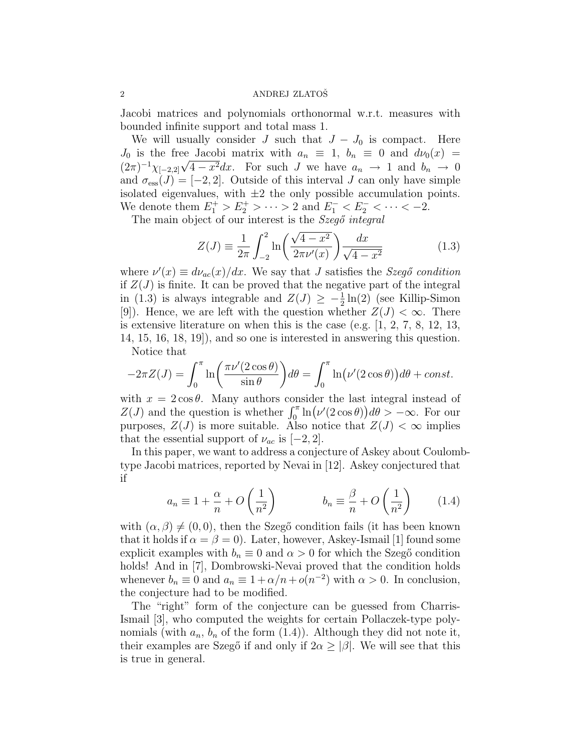Jacobi matrices and polynomials orthonormal w.r.t. measures with bounded infinite support and total mass 1.

We will usually consider J such that  $J - J_0$  is compact. Here  $J_0$  is the free Jacobi matrix with  $a_n \equiv 1, b_n \equiv 0$  and  $d\nu_0(x) =$  $(2\pi)^{-1}\chi_{[-2,2]}\sqrt{4-x^2}dx$ . For such J we have  $a_n \to 1$  and  $b_n \to 0$ and  $\sigma_{\text{ess}}(J) = [-2, 2]$ . Outside of this interval J can only have simple isolated eigenvalues, with  $\pm 2$  the only possible accumulation points. We denote them  $E_1^+ > E_2^+ > \cdots > 2$  and  $E_1^- < E_2^- < \cdots < -2$ .

The main object of our interest is the Szegő integral

$$
Z(J) = \frac{1}{2\pi} \int_{-2}^{2} \ln\left(\frac{\sqrt{4 - x^2}}{2\pi\nu'(x)}\right) \frac{dx}{\sqrt{4 - x^2}}
$$
(1.3)

where  $\nu'(x) \equiv d\nu_{ac}(x)/dx$ . We say that J satisfies the Szegő condition if  $Z(J)$  is finite. It can be proved that the negative part of the integral in (1.3) is always integrable and  $Z(J) \geq -\frac{1}{2} \ln(2)$  (see Killip-Simon [9]). Hence, we are left with the question whether  $Z(J) < \infty$ . There is extensive literature on when this is the case (e.g. [1, 2, 7, 8, 12, 13, 14, 15, 16, 18, 19]), and so one is interested in answering this question.

Notice that  
\n
$$
-2\pi Z(J) = \int_0^{\pi} \ln\left(\frac{\pi \nu'(2\cos\theta)}{\sin\theta}\right) d\theta = \int_0^{\pi} \ln(\nu'(2\cos\theta)) d\theta + const.
$$

with  $x = 2\cos\theta$ . Many authors consider the last integral instead of with  $x = 2\cos\theta$ . Many authors consider the last integral instead of  $Z(J)$  and the question is whether  $\int_0^{\pi} \ln(\nu'(2\cos\theta)) d\theta > -\infty$ . For our purposes,  $Z(J)$  is more suitable. Also notice that  $Z(J) < \infty$  implies that the essential support of  $\nu_{ac}$  is [−2, 2].

In this paper, we want to address a conjecture of Askey about Coulombtype Jacobi matrices, reported by Nevai in [12]. Askey conjectured that if  $\overline{a}$  $\mathbf{r}$  $\overline{a}$  $\mathbf{r}$ 

$$
a_n \equiv 1 + \frac{\alpha}{n} + O\left(\frac{1}{n^2}\right) \qquad \qquad b_n \equiv \frac{\beta}{n} + O\left(\frac{1}{n^2}\right) \qquad (1.4)
$$

with  $(\alpha, \beta) \neq (0, 0)$ , then the Szegő condition fails (it has been known that it holds if  $\alpha = \beta = 0$ . Later, however, Askey-Ismail [1] found some explicit examples with  $b_n \equiv 0$  and  $\alpha > 0$  for which the Szegő condition holds! And in [7], Dombrowski-Nevai proved that the condition holds whenever  $b_n \equiv 0$  and  $a_n \equiv 1 + \alpha/n + o(n^{-2})$  with  $\alpha > 0$ . In conclusion, the conjecture had to be modified.

The "right" form of the conjecture can be guessed from Charris-Ismail [3], who computed the weights for certain Pollaczek-type polynomials (with  $a_n$ ,  $b_n$  of the form  $(1.4)$ ). Although they did not note it, their examples are Szegő if and only if  $2\alpha \geq |\beta|$ . We will see that this is true in general.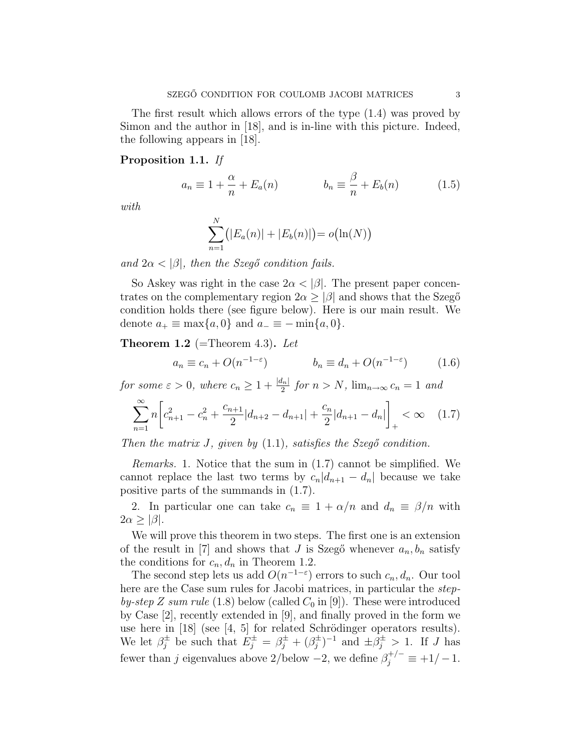The first result which allows errors of the type (1.4) was proved by Simon and the author in [18], and is in-line with this picture. Indeed, the following appears in [18].

## Proposition 1.1. If

$$
a_n \equiv 1 + \frac{\alpha}{n} + E_a(n) \qquad \qquad b_n \equiv \frac{\beta}{n} + E_b(n) \qquad (1.5)
$$

with

$$
\sum_{n=1}^{N} (|E_a(n)| + |E_b(n)|) = o(\ln(N))
$$

and  $2\alpha < |\beta|$ , then the Szegő condition fails.

So Askey was right in the case  $2\alpha < |\beta|$ . The present paper concentrates on the complementary region  $2\alpha \geq |\beta|$  and shows that the Szegő condition holds there (see figure below). Here is our main result. We denote  $a_+ \equiv \max\{a, 0\}$  and  $a_- \equiv -\min\{a, 0\}.$ 

**Theorem 1.2** (=Theorem 4.3). Let

$$
a_n \equiv c_n + O(n^{-1-\varepsilon}) \qquad \qquad b_n \equiv d_n + O(n^{-1-\varepsilon}) \qquad (1.6)
$$

for some  $\varepsilon > 0$ , where  $c_n \geq 1 + \frac{|d_n|}{2}$  for  $n > N$ ,  $\lim_{n \to \infty} c_n = 1$  and ·  $\overline{a}$ 

$$
\sum_{n=1}^{\infty} n \left[ c_{n+1}^2 - c_n^2 + \frac{c_{n+1}}{2} |d_{n+2} - d_{n+1}| + \frac{c_n}{2} |d_{n+1} - d_n| \right]_+ < \infty \quad (1.7)
$$

Then the matrix  $J$ , given by  $(1.1)$ , satisfies the Szegő condition.

Remarks. 1. Notice that the sum in (1.7) cannot be simplified. We cannot replace the last two terms by  $c_n|d_{n+1} - d_n|$  because we take positive parts of the summands in (1.7).

2. In particular one can take  $c_n \equiv 1 + \alpha/n$  and  $d_n \equiv \beta/n$  with  $2\alpha \geq |\beta|.$ 

We will prove this theorem in two steps. The first one is an extension of the result in [7] and shows that J is Szegő whenever  $a_n, b_n$  satisfy the conditions for  $c_n, d_n$  in Theorem 1.2.

The second step lets us add  $O(n^{-1-\epsilon})$  errors to such  $c_n, d_n$ . Our tool here are the Case sum rules for Jacobi matrices, in particular the *step*by-step Z sum rule (1.8) below (called  $C_0$  in [9]). These were introduced by Case [2], recently extended in [9], and finally proved in the form we use here in  $[18]$  (see  $[4, 5]$  for related Schrödinger operators results). We let  $\beta_j^{\pm}$  be such that  $E_j^{\pm} = \beta_j^{\pm} + (\beta_j^{\pm})$  $(\frac{\pm}{j})^{-1}$  and  $\pm \beta_j^{\pm} > 1$ . If J has fewer than j eigenvalues above 2/below  $-2$ , we define  $\beta_j^{+/-} \equiv +1/-1$ .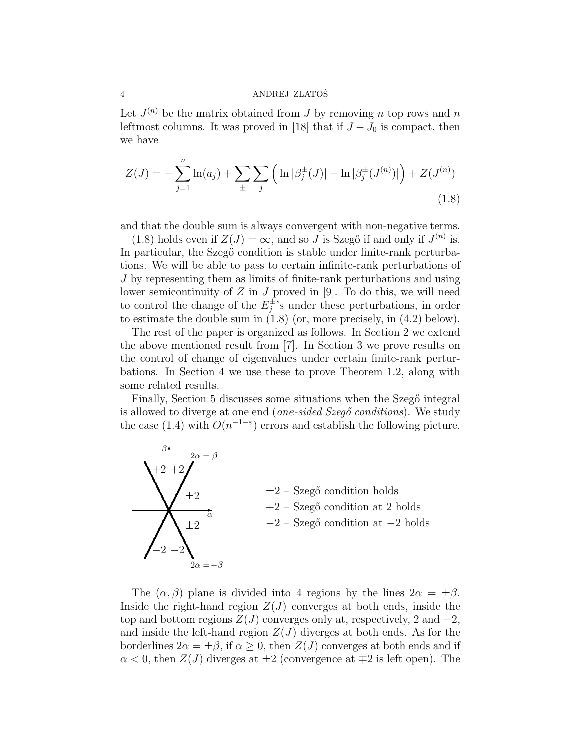Let  $J^{(n)}$  be the matrix obtained from J by removing n top rows and n leftmost columns. It was proved in [18] that if  $J-J_0$  is compact, then we have

$$
Z(J) = -\sum_{j=1}^{n} \ln(a_j) + \sum_{\pm} \sum_{j} \left( \ln |\beta_j^{\pm}(J)| - \ln |\beta_j^{\pm}(J^{(n)})| \right) + Z(J^{(n)}) \tag{1.8}
$$

and that the double sum is always convergent with non-negative terms.

(1.8) holds even if  $Z(J) = \infty$ , and so J is Szegő if and only if  $J^{(n)}$  is. In particular, the Szegő condition is stable under finite-rank perturbations. We will be able to pass to certain infinite-rank perturbations of J by representing them as limits of finite-rank perturbations and using lower semicontinuity of  $Z$  in  $J$  proved in [9]. To do this, we will need to control the change of the  $E_i^{\pm}$  $j_i^{\pm}$ 's under these perturbations, in order to estimate the double sum in (1.8) (or, more precisely, in (4.2) below).

The rest of the paper is organized as follows. In Section 2 we extend the above mentioned result from [7]. In Section 3 we prove results on the control of change of eigenvalues under certain finite-rank perturbations. In Section 4 we use these to prove Theorem 1.2, along with some related results.

Finally, Section 5 discusses some situations when the Szegő integral is allowed to diverge at one end (*one-sided Szegő conditions*). We study the case (1.4) with  $O(n^{-1-\epsilon})$  errors and establish the following picture.



The  $(\alpha, \beta)$  plane is divided into 4 regions by the lines  $2\alpha = \pm \beta$ . Inside the right-hand region  $Z(J)$  converges at both ends, inside the top and bottom regions  $Z(J)$  converges only at, respectively, 2 and  $-2$ , and inside the left-hand region  $Z(J)$  diverges at both ends. As for the borderlines  $2\alpha = \pm \beta$ , if  $\alpha \geq 0$ , then  $Z(J)$  converges at both ends and if  $\alpha$  < 0, then  $Z(J)$  diverges at  $\pm 2$  (convergence at  $\mp 2$  is left open). The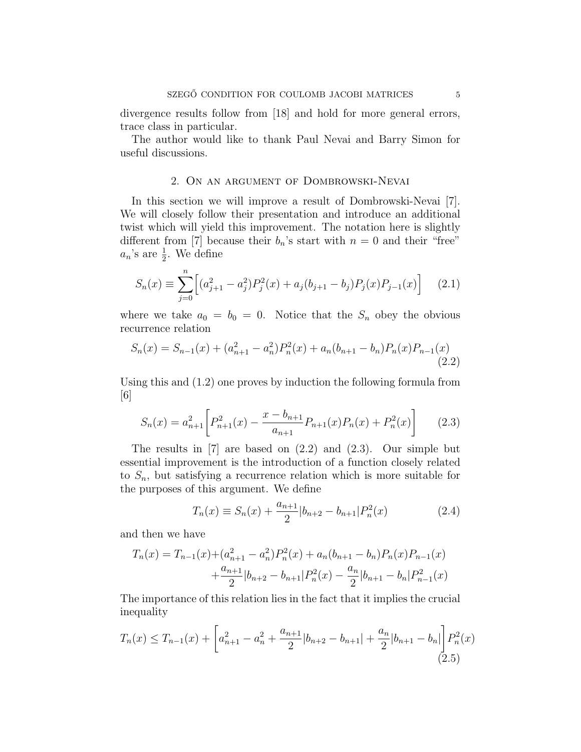divergence results follow from [18] and hold for more general errors, trace class in particular.

The author would like to thank Paul Nevai and Barry Simon for useful discussions.

## 2. On an argument of Dombrowski-Nevai

In this section we will improve a result of Dombrowski-Nevai [7]. We will closely follow their presentation and introduce an additional twist which will yield this improvement. The notation here is slightly different from [7] because their  $b_n$ 's start with  $n = 0$  and their "free"  $a_n$ 's are  $\frac{1}{2}$ . We define

$$
S_n(x) \equiv \sum_{j=0}^n \left[ (a_{j+1}^2 - a_j^2) P_j^2(x) + a_j (b_{j+1} - b_j) P_j(x) P_{j-1}(x) \right] \tag{2.1}
$$

where we take  $a_0 = b_0 = 0$ . Notice that the  $S_n$  obey the obvious recurrence relation

$$
S_n(x) = S_{n-1}(x) + (a_{n+1}^2 - a_n^2)P_n^2(x) + a_n(b_{n+1} - b_n)P_n(x)P_{n-1}(x)
$$
\n(2.2)

Using this and (1.2) one proves by induction the following formula from  $|6|$ 

$$
S_n(x) = a_{n+1}^2 \left[ P_{n+1}^2(x) - \frac{x - b_{n+1}}{a_{n+1}} P_{n+1}(x) P_n(x) + P_n^2(x) \right] \tag{2.3}
$$

The results in  $[7]$  are based on  $(2.2)$  and  $(2.3)$ . Our simple but essential improvement is the introduction of a function closely related to  $S_n$ , but satisfying a recurrence relation which is more suitable for the purposes of this argument. We define

$$
T_n(x) \equiv S_n(x) + \frac{a_{n+1}}{2} |b_{n+2} - b_{n+1}| P_n^2(x)
$$
 (2.4)

and then we have

$$
T_n(x) = T_{n-1}(x) + (a_{n+1}^2 - a_n^2)P_n^2(x) + a_n(b_{n+1} - b_n)P_n(x)P_{n-1}(x) + \frac{a_{n+1}}{2}|b_{n+2} - b_{n+1}|P_n^2(x) - \frac{a_n}{2}|b_{n+1} - b_n|P_{n-1}^2(x)
$$

The importance of this relation lies in the fact that it implies the crucial inequality  $\overline{a}$ 

$$
T_n(x) \le T_{n-1}(x) + \left[a_{n+1}^2 - a_n^2 + \frac{a_{n+1}}{2}|b_{n+2} - b_{n+1}| + \frac{a_n}{2}|b_{n+1} - b_n|\right] P_n^2(x)
$$
\n(2.5)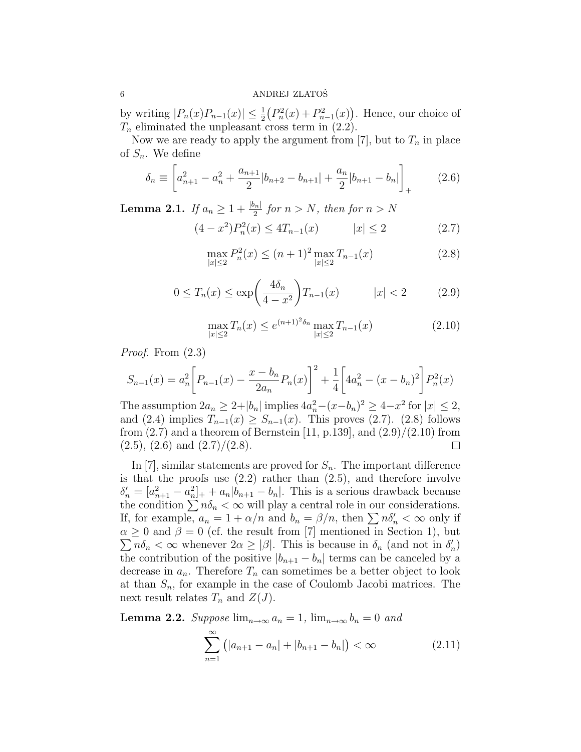by writing  $|P_n(x)P_{n-1}(x)| \leq \frac{1}{2}$ ¡  $P_n^2(x) + P_{n-1}^2(x)$ ¢ . Hence, our choice of  $T_n$  eliminated the unpleasant cross term in  $(2.2)$ .

Now we are ready to apply the argument from [7], but to  $T_n$  in place of  $S_n$ . We define  $\overline{a}$ 

$$
\delta_n \equiv \left[ a_{n+1}^2 - a_n^2 + \frac{a_{n+1}}{2} |b_{n+2} - b_{n+1}| + \frac{a_n}{2} |b_{n+1} - b_n| \right]_+ \tag{2.6}
$$

**Lemma 2.1.** If  $a_n \geq 1 + \frac{|b_n|}{2}$  for  $n > N$ , then for  $n > N$ 

$$
(4 - x2)Pn2(x) \le 4Tn-1(x) \qquad |x| \le 2 \qquad (2.7)
$$

$$
\max_{|x| \le 2} P_n^2(x) \le (n+1)^2 \max_{|x| \le 2} T_{n-1}(x) \tag{2.8}
$$

$$
0 \le T_n(x) \le \exp\left(\frac{4\delta_n}{4 - x^2}\right) T_{n-1}(x) \qquad |x| < 2 \tag{2.9}
$$

$$
\max_{|x| \le 2} T_n(x) \le e^{(n+1)^2 \delta_n} \max_{|x| \le 2} T_{n-1}(x) \tag{2.10}
$$

Proof. From (2.3)

$$
S_{n-1}(x) = a_n^2 \left[ P_{n-1}(x) - \frac{x - b_n}{2a_n} P_n(x) \right]^2 + \frac{1}{4} \left[ 4a_n^2 - (x - b_n)^2 \right] P_n^2(x)
$$

The assumption  $2a_n \geq 2+|b_n|$  implies  $4a_n^2-(x-b_n)^2 \geq 4-x^2$  for  $|x| \leq 2$ , and (2.4) implies  $T_{n-1}(x) \geq S_{n-1}(x)$ . This proves (2.7). (2.8) follows from  $(2.7)$  and a theorem of Bernstein [11, p.139], and  $(2.9)/(2.10)$  from  $(2.5), (2.6)$  and  $(2.7)/(2.8)$ .  $\Box$ 

In [7], similar statements are proved for  $S_n$ . The important difference is that the proofs use  $(2.2)$  rather than  $(2.5)$ , and therefore involve  $\delta'_n = [a_{n+1}^2 - a_n^2]_+ + a_n |b_{n+1} - b_n|$ . This is a serious drawback because the condition  $\sum n\delta_n < \infty$  will play a central role in our considerations. If, for example,  $a_n = 1 + \alpha/n$  and  $b_n = \beta/n$ , then  $\sum n\delta'_n < \infty$  only if  $\alpha \geq 0$  and  $\beta = 0$  (cf. the result from [7] mentioned in Section 1), but  $n\delta_n < \infty$  whenever  $2\alpha \geq |\beta|$ . This is because in  $\delta_n$  (and not in  $\delta'_n$ ) the contribution of the positive  $|b_{n+1} - b_n|$  terms can be canceled by a decrease in  $a_n$ . Therefore  $T_n$  can sometimes be a better object to look at than  $S_n$ , for example in the case of Coulomb Jacobi matrices. The next result relates  $T_n$  and  $Z(J)$ .

**Lemma 2.2.** Suppose  $\lim_{n\to\infty} a_n = 1$ ,  $\lim_{n\to\infty} b_n = 0$  and

$$
\sum_{n=1}^{\infty} (|a_{n+1} - a_n| + |b_{n+1} - b_n|) < \infty \tag{2.11}
$$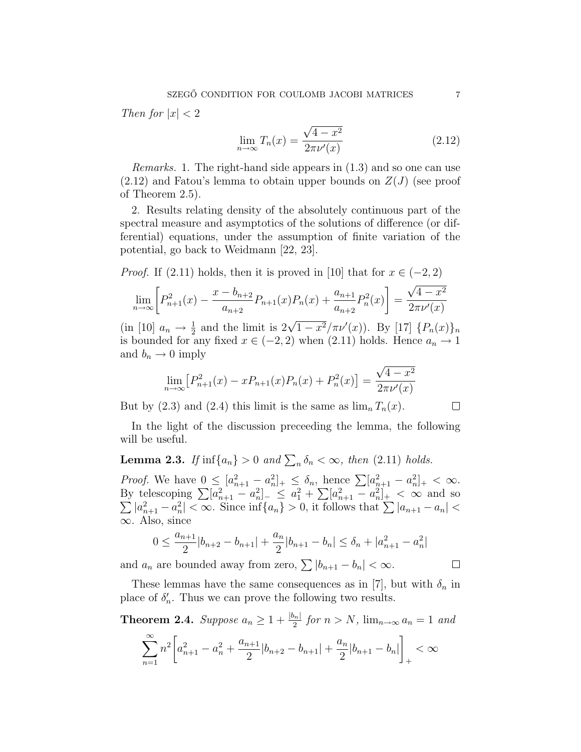Then for  $|x| < 2$ 

$$
\lim_{n \to \infty} T_n(x) = \frac{\sqrt{4 - x^2}}{2\pi \nu'(x)}
$$
\n(2.12)

Remarks. 1. The right-hand side appears in (1.3) and so one can use  $(2.12)$  and Fatou's lemma to obtain upper bounds on  $Z(J)$  (see proof of Theorem 2.5).

2. Results relating density of the absolutely continuous part of the spectral measure and asymptotics of the solutions of difference (or differential) equations, under the assumption of finite variation of the potential, go back to Weidmann [22, 23].

*Proof.* If (2.11) holds, then it is proved in [10] that for  $x \in (-2, 2)$ 

$$
\lim_{n \to \infty} \left[ P_{n+1}^2(x) - \frac{x - b_{n+2}}{a_{n+2}} P_{n+1}(x) P_n(x) + \frac{a_{n+1}}{a_{n+2}} P_n^2(x) \right] = \frac{\sqrt{4 - x^2}}{2\pi \nu'(x)}
$$

(in [10]  $a_n \to \frac{1}{2}$  and the limit is  $2\sqrt{1-x^2}/\pi\nu'(x)$ ). By [17]  $\{P_n(x)\}_n$ is bounded for any fixed  $x \in (-2, 2)$  when  $(2.11)$  holds. Hence  $a_n \to 1$ and  $b_n \to 0$  imply

$$
\lim_{n \to \infty} \left[ P_{n+1}^2(x) - x P_{n+1}(x) P_n(x) + P_n^2(x) \right] = \frac{\sqrt{4 - x^2}}{2\pi \nu'(x)}
$$

But by (2.3) and (2.4) this limit is the same as  $\lim_{n} T_n(x)$ .

In the light of the discussion preceeding the lemma, the following will be useful.

**Lemma 2.3.** If  $\inf\{a_n\} > 0$  and  $\sum_n \delta_n < \infty$ , then (2.11) holds.

*Proof.* We have  $0 \leq [a_{n+1}^2 - a_n^2]_+ \leq \delta_n$ , hence  $\sum [a_{n+1}^2 - a_n^2]_+ < \infty$ .<br>By telescoping  $\sum [a_{n+1}^2 - a_n^2]_- \leq a_1^2 + \sum [a_{n+1}^2 - a_n^2]_+ < \infty$  and so telescoping  $\sum |a_{n+1} - a_n| < a_n$  =  $a_1 + \sum |a_{n+1} - a_n| < \infty$  and so  $|a_{n+1}^2 - a_n^2| < \infty$ . Since  $\inf\{a_n\} > 0$ , it follows that  $\sum |a_{n+1} - a_n| <$ ∞. Also, since

$$
0 \le \frac{a_{n+1}}{2}|b_{n+2} - b_{n+1}| + \frac{a_n}{2}|b_{n+1} - b_n| \le \delta_n + |a_{n+1}^2 - a_n^2|
$$

and  $a_n$  are bounded away from zero,  $\sum |b_{n+1} - b_n| < \infty$ .

These lemmas have the same consequences as in [7], but with  $\delta_n$  in place of  $\delta'_n$ . Thus we can prove the following two results.

**Theorem 2.4.** Suppose  $a_n \geq 1 + \frac{|b_n|}{2}$  for  $n > N$ ,  $\lim_{n \to \infty} a_n = 1$  and

$$
\sum_{n=1}^{\infty} n^2 \left[ a_{n+1}^2 - a_n^2 + \frac{a_{n+1}}{2} |b_{n+2} - b_{n+1}| + \frac{a_n}{2} |b_{n+1} - b_n| \right]_+ < \infty
$$

 $\Box$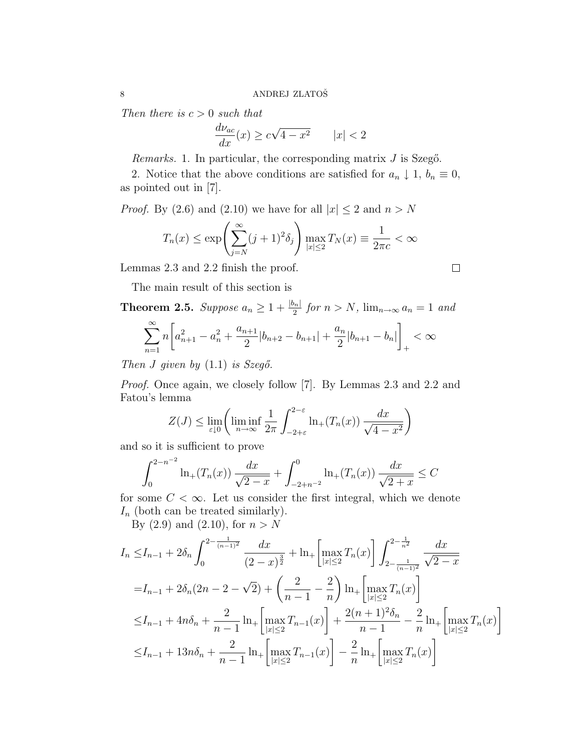Then there is  $c > 0$  such that

$$
\frac{d\nu_{ac}}{dx}(x) \ge c\sqrt{4 - x^2} \qquad |x| < 2
$$

Remarks. 1. In particular, the corresponding matrix  $J$  is Szegő.

2. Notice that the above conditions are satisfied for  $a_n \downarrow 1, b_n \equiv 0$ , as pointed out in [7].

*Proof.* By (2.6) and (2.10) we have for all  $|x| \le 2$  and  $n > N$ 

$$
T_n(x) \le \exp\left(\sum_{j=N}^{\infty} (j+1)^2 \delta_j\right) \max_{|x| \le 2} T_N(x) \equiv \frac{1}{2\pi c} < \infty
$$

Lemmas 2.3 and 2.2 finish the proof.

The main result of this section is

**Theorem 2.5.** Suppose  $a_n \geq 1 + \frac{|b_n|}{2}$  for  $n > N$ ,  $\lim_{n \to \infty} a_n = 1$  and  $\sim$ · ¸

$$
\sum_{n=1}^{\infty} n \left[ a_{n+1}^2 - a_n^2 + \frac{a_{n+1}}{2} |b_{n+2} - b_{n+1}| + \frac{a_n}{2} |b_{n+1} - b_n| \right]_+ < \infty
$$

Then J given by  $(1.1)$  is Szegő.

Proof. Once again, we closely follow [7]. By Lemmas 2.3 and 2.2 and Fatou's lemma  $\mathbf{r}$ 

$$
Z(J) \le \lim_{\varepsilon \downarrow 0} \left( \liminf_{n \to \infty} \frac{1}{2\pi} \int_{-2+\varepsilon}^{2-\varepsilon} \ln_+(T_n(x)) \frac{dx}{\sqrt{4-x^2}} \right)
$$

and so it is sufficient to prove

$$
\int_0^{2-n^{-2}} \ln_+(T_n(x)) \frac{dx}{\sqrt{2-x}} + \int_{-2+n^{-2}}^0 \ln_+(T_n(x)) \frac{dx}{\sqrt{2+x}} \le C
$$

for some  $C < \infty$ . Let us consider the first integral, which we denote  $I_n$  (both can be treated similarly).

By  $(2.9)$  and  $(2.10)$ , for  $n > N$ 

$$
I_n \leq I_{n-1} + 2\delta_n \int_0^{2 - \frac{1}{(n-1)^2}} \frac{dx}{(2-x)^{\frac{3}{2}}} + \ln_+\left[\max_{|x| \leq 2} T_n(x)\right] \int_{2 - \frac{1}{(n-1)^2}}^{2 - \frac{1}{n^2}} \frac{dx}{\sqrt{2-x}}
$$
  
\n
$$
= I_{n-1} + 2\delta_n (2n - 2 - \sqrt{2}) + \left(\frac{2}{n-1} - \frac{2}{n}\right) \ln_+\left[\max_{|x| \leq 2} T_n(x)\right]
$$
  
\n
$$
\leq I_{n-1} + 4n\delta_n + \frac{2}{n-1} \ln_+\left[\max_{|x| \leq 2} T_{n-1}(x)\right] + \frac{2(n+1)^2 \delta_n}{n-1} - \frac{2}{n} \ln_+\left[\max_{|x| \leq 2} T_n(x)\right]
$$
  
\n
$$
\leq I_{n-1} + 13n\delta_n + \frac{2}{n-1} \ln_+\left[\max_{|x| \leq 2} T_{n-1}(x)\right] - \frac{2}{n} \ln_+\left[\max_{|x| \leq 2} T_n(x)\right]
$$

 $\overline{a}$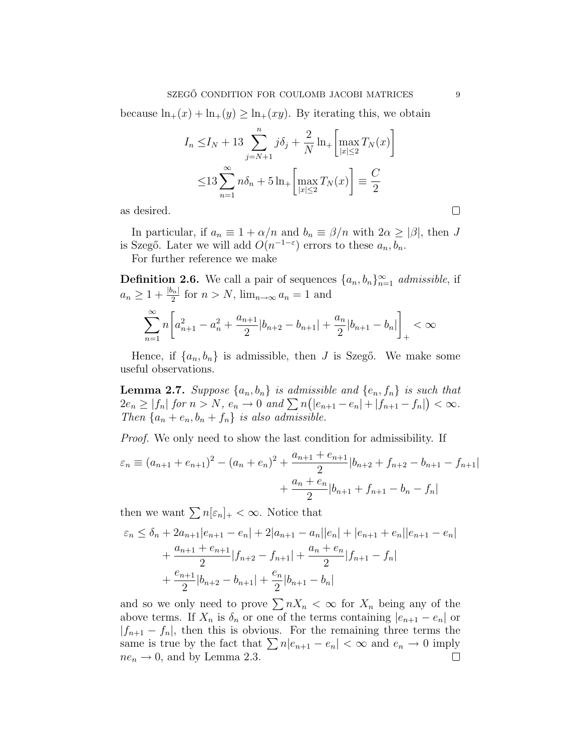because  $\ln_+(x) + \ln_+(y) \ge \ln_+(xy)$ . By iterating this, we obtain

$$
I_n \le I_N + 13 \sum_{j=N+1}^n j\delta_j + \frac{2}{N} \ln_+\left[\max_{|x| \le 2} T_N(x)\right]
$$
  

$$
\le 13 \sum_{n=1}^\infty n\delta_n + 5 \ln_+\left[\max_{|x| \le 2} T_N(x)\right] \equiv \frac{C}{2}
$$

as desired.

In particular, if  $a_n \equiv 1 + \alpha/n$  and  $b_n \equiv \beta/n$  with  $2\alpha \ge |\beta|$ , then J is Szegő. Later we will add  $O(n^{-1-\epsilon})$  errors to these  $a_n, b_n$ .

For further reference we make

**Definition 2.6.** We call a pair of sequences  $\{a_n, b_n\}_{n=1}^{\infty}$  admissible, if  $a_n \geq 1 + \frac{|b_n|}{2}$  for  $n > N$ ,  $\lim_{n \to \infty} a_n = 1$  and

$$
\sum_{n=1}^{\infty} n \left[ a_{n+1}^2 - a_n^2 + \frac{a_{n+1}}{2} |b_{n+2} - b_{n+1}| + \frac{a_n}{2} |b_{n+1} - b_n| \right]_+ < \infty
$$

Hence, if  $\{a_n, b_n\}$  is admissible, then J is Szegő. We make some useful observations.

**Lemma 2.7.** Suppose  $\{a_n, b_n\}$  is admissible and  $\{e_n, f_n\}$  is such that **Lemma 2.1.** Suppose  $\{a_n, b_n\}$  is aamissive and  $\{e_n, f_n\}$  is such that  $2e_n \ge |f_n|$  for  $n > N$ ,  $e_n \to 0$  and  $\sum n(|e_{n+1} - e_n| + |f_{n+1} - f_n|) < \infty$ . Then  $\{a_n + e_n, b_n + f_n\}$  is also admissible.

Proof. We only need to show the last condition for admissibility. If

$$
\varepsilon_n \equiv (a_{n+1} + e_{n+1})^2 - (a_n + e_n)^2 + \frac{a_{n+1} + e_{n+1}}{2} |b_{n+2} + f_{n+2} - b_{n+1} - f_{n+1}|
$$

$$
+ \frac{a_n + e_n}{2} |b_{n+1} + f_{n+1} - b_n - f_n|
$$

then we want  $\sum n[\epsilon_n]_+ < \infty$ . Notice that

$$
\varepsilon_n \le \delta_n + 2a_{n+1}|e_{n+1} - e_n| + 2|a_{n+1} - a_n||e_n| + |e_{n+1} + e_n||e_{n+1} - e_n|
$$
  
+ 
$$
\frac{a_{n+1} + e_{n+1}}{2}|f_{n+2} - f_{n+1}| + \frac{a_n + e_n}{2}|f_{n+1} - f_n|
$$
  
+ 
$$
\frac{e_{n+1}}{2}|b_{n+2} - b_{n+1}| + \frac{e_n}{2}|b_{n+1} - b_n|
$$

and so we only need to prove  $\sum nX_n < \infty$  for  $X_n$  being any of the above terms. If  $X_n$  is  $\delta_n$  or one of the terms containing  $|e_{n+1} - e_n|$  or  $|f_{n+1} - f_n|$ , then this is obvious. For the remaining three terms the same is true by the fact that  $\sum n|e_{n+1} - e_n| < \infty$  and  $e_n \to 0$  imply  $ne_n \rightarrow 0$ , and by Lemma 2.3.  $\Box$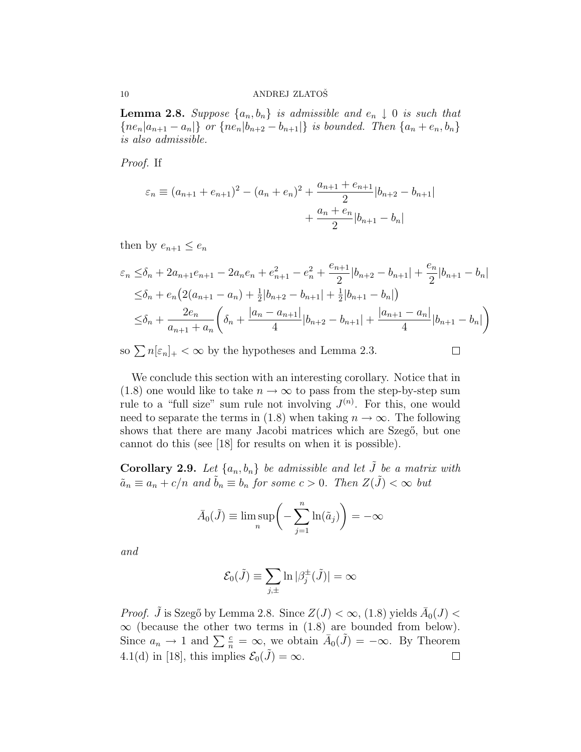**Lemma 2.8.** Suppose  $\{a_n, b_n\}$  is admissible and  $e_n \downarrow 0$  is such that  ${ne_n | a_{n+1} - a_n|}$  or  ${ne_n | b_{n+2} - b_{n+1}|}$  is bounded. Then  ${a_n + e_n, b_n}$ is also admissible.

Proof. If

$$
\varepsilon_n \equiv (a_{n+1} + e_{n+1})^2 - (a_n + e_n)^2 + \frac{a_{n+1} + e_{n+1}}{2} |b_{n+2} - b_{n+1}|
$$

$$
+ \frac{a_n + e_n}{2} |b_{n+1} - b_n|
$$

then by  $e_{n+1} \leq e_n$ 

$$
\varepsilon_n \leq \delta_n + 2a_{n+1}e_{n+1} - 2a_n e_n + e_{n+1}^2 - e_n^2 + \frac{e_{n+1}}{2}|b_{n+2} - b_{n+1}| + \frac{e_n}{2}|b_{n+1} - b_n|
$$
  

$$
\leq \delta_n + e_n \left(2(a_{n+1} - a_n) + \frac{1}{2}|b_{n+2} - b_{n+1}| + \frac{1}{2}|b_{n+1} - b_n|\right)
$$
  

$$
\leq \delta_n + \frac{2e_n}{a_{n+1} + a_n} \left(\delta_n + \frac{|a_n - a_{n+1}|}{4}|b_{n+2} - b_{n+1}| + \frac{|a_{n+1} - a_n|}{4}|b_{n+1} - b_n|\right)
$$

so  $\sum n[\epsilon_n]_+ < \infty$  by the hypotheses and Lemma 2.3.

 $\Box$ 

We conclude this section with an interesting corollary. Notice that in (1.8) one would like to take  $n \to \infty$  to pass from the step-by-step sum rule to a "full size" sum rule not involving  $J^{(n)}$ . For this, one would need to separate the terms in (1.8) when taking  $n \to \infty$ . The following shows that there are many Jacobi matrices which are Szego, but one cannot do this (see [18] for results on when it is possible).

**Corollary 2.9.** Let  $\{a_n, b_n\}$  be admissible and let  $\tilde{J}$  be a matrix with  $\tilde{a}_n \equiv a_n + c/n$  and  $\tilde{b}_n \equiv b_n$  for some  $c > 0$ . Then  $Z(\tilde{J}) < \infty$  but

$$
\bar{A}_0(\tilde{J}) \equiv \limsup_n \left( -\sum_{j=1}^n \ln(\tilde{a}_j) \right) = -\infty
$$

and

$$
\mathcal{E}_0(\tilde{J}) \equiv \sum_{j,\pm} \ln |\beta_j^{\pm}(\tilde{J})| = \infty
$$

*Proof.*  $\tilde{J}$  is Szegő by Lemma 2.8. Since  $Z(J) < \infty$ , (1.8) yields  $\bar{A}_0(J) <$  $\infty$  (because the other two terms in (1.8) are bounded from below). Since  $a_n \to 1$  and  $\sum_{n=1}^{\infty} a_n = \infty$ , we obtain  $\overline{A}_0(\tilde{J}) = -\infty$ . By Theorem 4.1(d) in [18], this implies  $\mathcal{E}_0(\tilde{J}) = \infty$ .  $\Box$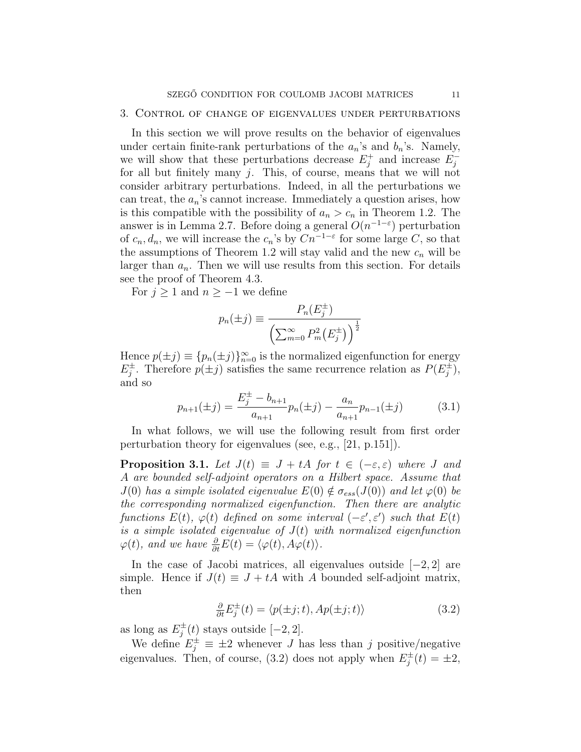#### 3. Control of change of eigenvalues under perturbations

In this section we will prove results on the behavior of eigenvalues under certain finite-rank perturbations of the  $a_n$ 's and  $b_n$ 's. Namely, we will show that these perturbations decrease  $E_i^+$  $j^+$  and increase  $E_j^$ j for all but finitely many  $j$ . This, of course, means that we will not consider arbitrary perturbations. Indeed, in all the perturbations we can treat, the  $a_n$ 's cannot increase. Immediately a question arises, how is this compatible with the possibility of  $a_n > c_n$  in Theorem 1.2. The answer is in Lemma 2.7. Before doing a general  $O(n^{-1-\epsilon})$  perturbation of  $c_n, d_n$ , we will increase the  $c_n$ 's by  $Cn^{-1-\varepsilon}$  for some large C, so that the assumptions of Theorem 1.2 will stay valid and the new  $c_n$  will be larger than  $a_n$ . Then we will use results from this section. For details see the proof of Theorem 4.3.

For  $j \geq 1$  and  $n \geq -1$  we define

$$
p_n(\pm j) \equiv \frac{P_n(E_j^{\pm})}{\left(\sum_{m=0}^{\infty} P_m^2(E_j^{\pm})\right)^{\frac{1}{2}}}
$$

Hence  $p(\pm j) \equiv \{p_n(\pm j)\}_{n=0}^{\infty}$  is the normalized eigenfunction for energy  $E_i^{\pm}$  $j^{\pm}$ . Therefore  $p(\pm j)$  satisfies the same recurrence relation as  $P(E_j^{\pm})$  $j^{\pm}$ ), and so

$$
p_{n+1}(\pm j) = \frac{E_j^{\pm} - b_{n+1}}{a_{n+1}} p_n(\pm j) - \frac{a_n}{a_{n+1}} p_{n-1}(\pm j)
$$
 (3.1)

In what follows, we will use the following result from first order perturbation theory for eigenvalues (see, e.g., [21, p.151]).

**Proposition 3.1.** Let  $J(t) \equiv J + tA$  for  $t \in (-\varepsilon, \varepsilon)$  where J and A are bounded self-adjoint operators on a Hilbert space. Assume that  $J(0)$  has a simple isolated eigenvalue  $E(0) \notin \sigma_{ess}(J(0))$  and let  $\varphi(0)$  be the corresponding normalized eigenfunction. Then there are analytic functions  $E(t)$ ,  $\varphi(t)$  defined on some interval  $(-\varepsilon', \varepsilon')$  such that  $E(t)$ is a simple isolated eigenvalue of  $J(t)$  with normalized eigenfunction  $\varphi(t)$ , and we have  $\frac{\partial}{\partial t}E(t) = \langle \varphi(t), A\varphi(t) \rangle$ .

In the case of Jacobi matrices, all eigenvalues outside [−2, 2] are simple. Hence if  $J(t) \equiv J + tA$  with A bounded self-adjoint matrix, then

$$
\frac{\partial}{\partial t} E_j^{\pm}(t) = \langle p(\pm j; t), Ap(\pm j; t) \rangle \tag{3.2}
$$

as long as  $E_i^{\pm}$  $j^{\pm}(t)$  stays outside  $[-2, 2]$ .

We define  $E_j^{\pm} \equiv \pm 2$  whenever J has less than j positive/negative eigenvalues. Then, of course, (3.2) does not apply when  $E_i^{\pm}$  $j^{\pm}(t) = \pm 2,$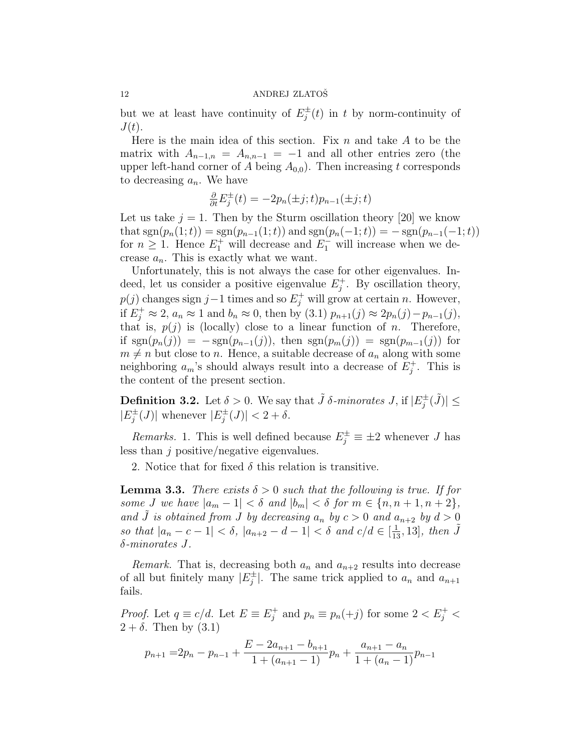but we at least have continuity of  $E_i^{\pm}$  $j^{\pm}(t)$  in t by norm-continuity of  $J(t)$ .

Here is the main idea of this section. Fix  $n$  and take  $A$  to be the matrix with  $A_{n-1,n} = A_{n,n-1} = -1$  and all other entries zero (the upper left-hand corner of A being  $A_{0,0}$ ). Then increasing t corresponds to decreasing  $a_n$ . We have

$$
\frac{\partial}{\partial t}E_j^{\pm}(t) = -2p_n(\pm j; t)p_{n-1}(\pm j; t)
$$

Let us take  $j = 1$ . Then by the Sturm oscillation theory [20] we know that  $sgn(p_n(1;t)) = sgn(p_{n-1}(1;t))$  and  $sgn(p_n(-1;t)) = -sgn(p_{n-1}(-1;t))$ for  $n \geq 1$ . Hence  $E_1^+$  will decrease and  $E_1^-$  will increase when we decrease  $a_n$ . This is exactly what we want.

Unfortunately, this is not always the case for other eigenvalues. Indeed, let us consider a positive eigenvalue  $E_i^+$  $j^+$ . By oscillation theory,  $p(j)$  changes sign j – 1 times and so  $E_j^+$  will grow at certain n. However, if  $E_j^+ \approx 2$ ,  $a_n \approx 1$  and  $b_n \approx 0$ , then by (3.1)  $p_{n+1}(j) \approx 2p_n(j) - p_{n-1}(j)$ , that is,  $p(j)$  is (locally) close to a linear function of n. Therefore, if  $sgn(p_n(j)) = -sgn(p_{n-1}(j))$ , then  $sgn(p_m(j)) = sgn(p_{m-1}(j))$  for  $m \neq n$  but close to n. Hence, a suitable decrease of  $a_n$  along with some neighboring  $a_m$ 's should always result into a decrease of  $E_i^+$  $j^+$ . This is the content of the present section.

**Definition 3.2.** Let  $\delta > 0$ . We say that  $\tilde{J} \delta$ -minorates J, if  $|E_i^{\pm}|$  $|\tilde{j}(\tilde{J})| \leq$  $|E_i^{\pm}$  $\mathcal{L}_j^{\pm}(J)$  whenever  $|E_j^{\pm}|$  $|\dot{J}_j^{\pm}(J)| < 2 + \delta.$ 

*Remarks.* 1. This is well defined because  $E_j^{\pm} \equiv \pm 2$  whenever J has less than j positive/negative eigenvalues.

2. Notice that for fixed  $\delta$  this relation is transitive.

**Lemma 3.3.** There exists  $\delta > 0$  such that the following is true. If for some J we have  $|a_m - 1| < \delta$  and  $|b_m| < \delta$  for  $m \in \{n, n + 1, n + 2\}$ , and  $\tilde{J}$  is obtained from J by decreasing  $a_n$  by  $c > 0$  and  $a_{n+2}$  by  $d > 0$ so that  $|a_n - c - 1| < \delta$ ,  $|a_{n+2} - d - 1| < \delta$  and  $c/d \in [\frac{1}{13}, 13]$ , then  $\tilde{J}$ δ-minorates J.

Remark. That is, decreasing both  $a_n$  and  $a_{n+2}$  results into decrease of all but finitely many  $|E_i^{\pm}|$  $\left| \frac{1}{j} \right|$ . The same trick applied to  $a_n$  and  $a_{n+1}$ fails.

*Proof.* Let  $q \equiv c/d$ . Let  $E \equiv E_i^+$  $j^+$  and  $p_n \equiv p_n(+j)$  for some  $2 < E_j^+$  $2 + \delta$ . Then by  $(3.1)$ 

$$
p_{n+1} = 2p_n - p_{n-1} + \frac{E - 2a_{n+1} - b_{n+1}}{1 + (a_{n+1} - 1)}p_n + \frac{a_{n+1} - a_n}{1 + (a_n - 1)}p_{n-1}
$$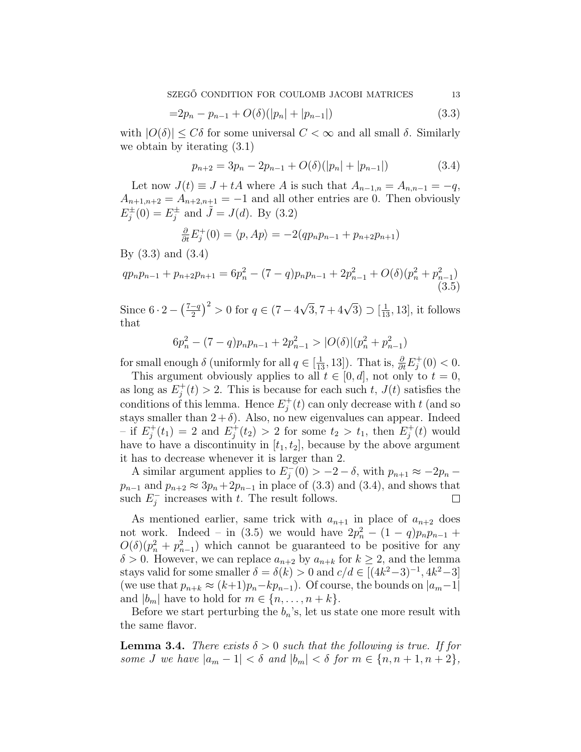$$
=2p_n-p_{n-1}+O(\delta)(|p_n|+|p_{n-1}|) \tag{3.3}
$$

with  $|O(\delta)| \leq C\delta$  for some universal  $C < \infty$  and all small  $\delta$ . Similarly we obtain by iterating (3.1)

$$
p_{n+2} = 3p_n - 2p_{n-1} + O(\delta)(|p_n| + |p_{n-1}|)
$$
\n(3.4)

Let now  $J(t) \equiv J + tA$  where A is such that  $A_{n-1,n} = A_{n,n-1} = -q$ ,  $A_{n+1,n+2} = A_{n+2,n+1} = -1$  and all other entries are 0. Then obviously  $E_i^{\pm}$  $j^{\pm}(0) = E_j^{\pm}$  $j^{\pm}$  and  $\tilde{J} = J(d)$ . By (3.2)

$$
\frac{\partial}{\partial t} E_j^+(0) = \langle p, Ap \rangle = -2(qp_np_{n-1} + p_{n+2}p_{n+1})
$$

By (3.3) and (3.4)

$$
qp_np_{n-1} + p_{n+2}p_{n+1} = 6p_n^2 - (7-q)p_np_{n-1} + 2p_{n-1}^2 + O(\delta)(p_n^2 + p_{n-1}^2)
$$
\n(3.5)

Since  $6 \cdot 2 (7-q)$ 2  $\sqrt{2}$  $> 0$  for  $q \in (7 - 4)$  $\sqrt{3}$ , 7 + 4 $\sqrt{3}$ )  $\supset [\frac{1}{13}, 13]$ , it follows that

$$
6p_n^2 - (7-q)p_np_{n-1} + 2p_{n-1}^2 > |O(\delta)|\left(p_n^2 + p_{n-1}^2\right)
$$

for small enough  $\delta$  (uniformly for all  $q \in [\frac{1}{13}, 13]$ ). That is,  $\frac{\partial}{\partial t} E_j^+$  $j^+(0) < 0.$ 

This argument obviously applies to all  $t \in [0, d]$ , not only to  $t = 0$ , as long as  $E_i^+$  $j(t) > 2$ . This is because for each such t,  $J(t)$  satisfies the conditions of this lemma. Hence  $E_i^+$  $j^{\dagger}(t)$  can only decrease with t (and so stays smaller than  $2 + \delta$ ). Also, no new eigenvalues can appear. Indeed  $-$  if  $E_i^+$  $j_j^+(t_1) = 2$  and  $E_j^+$  $t_1^+(t_2) > 2$  for some  $t_2 > t_1$ , then  $E_j^+$  $j^{+}(t)$  would have to have a discontinuity in  $[t_1, t_2]$ , because by the above argument it has to decrease whenever it is larger than 2.

A similar argument applies to  $E_i^$  $j_1^-(0) > -2 - \delta$ , with  $p_{n+1} \approx -2p_n - \delta$  $p_{n-1}$  and  $p_{n+2} \approx 3p_n + 2p_{n-1}$  in place of (3.3) and (3.4), and shows that such  $E_i^$  $j_{j}^{-}$  increases with t. The result follows.  $\Box$ 

As mentioned earlier, same trick with  $a_{n+1}$  in place of  $a_{n+2}$  does not work. Indeed – in (3.5) we would have  $2p_n^2 - (1-q)p_np_{n-1}$  +  $O(\delta)(p_n^2 + p_{n-1}^2)$  which cannot be guaranteed to be positive for any  $\delta > 0$ . However, we can replace  $a_{n+2}$  by  $a_{n+k}$  for  $k \geq 2$ , and the lemma stays valid for some smaller  $\delta = \delta(k) > 0$  and  $c/d \in [(4k^2-3)^{-1}, 4k^2-3]$ (we use that  $p_{n+k} \approx (k+1)p_n - kp_{n-1}$ ). Of course, the bounds on  $|a_m-1|$ and  $|b_m|$  have to hold for  $m \in \{n, \ldots, n+k\}.$ 

Before we start perturbing the  $b_n$ 's, let us state one more result with the same flavor.

**Lemma 3.4.** There exists  $\delta > 0$  such that the following is true. If for some J we have  $|a_m - 1| < \delta$  and  $|b_m| < \delta$  for  $m \in \{n, n + 1, n + 2\}$ ,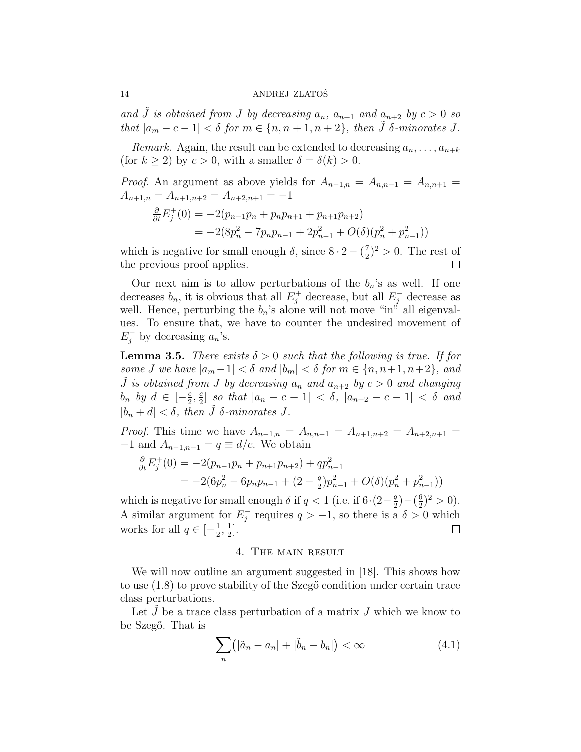and  $\tilde{J}$  is obtained from J by decreasing  $a_n$ ,  $a_{n+1}$  and  $a_{n+2}$  by  $c > 0$  so that  $|a_m - c - 1| < \delta$  for  $m \in \{n, n + 1, n + 2\}$ , then  $\tilde{J}$   $\delta$ -minorates J.

Remark. Again, the result can be extended to decreasing  $a_n, \ldots, a_{n+k}$ (for  $k \geq 2$ ) by  $c > 0$ , with a smaller  $\delta = \delta(k) > 0$ .

*Proof.* An argument as above yields for  $A_{n-1,n} = A_{n,n-1} = A_{n,n+1}$  $A_{n+1,n} = A_{n+1,n+2} = A_{n+2,n+1} = -1$ 

$$
\frac{\partial}{\partial t} E_j^+(0) = -2(p_{n-1}p_n + p_n p_{n+1} + p_{n+1}p_{n+2})
$$
  
= -2(8p\_n^2 - 7p\_n p\_{n-1} + 2p\_{n-1}^2 + O(\delta)(p\_n^2 + p\_{n-1}^2))

which is negative for small enough  $\delta$ , since  $8 \cdot 2 - \left(\frac{7}{2}\right)$  $(\frac{7}{2})^2 > 0$ . The rest of the previous proof applies.  $\Box$ 

Our next aim is to allow perturbations of the  $b_n$ 's as well. If one decreases  $b_n$ , it is obvious that all  $E_j^+$  decrease, but all  $E_j^-$  decrease as well. Hence, perturbing the  $b_n$ 's alone will not move "in" all eigenvalues. To ensure that, we have to counter the undesired movement of  $E_j^-$  by decreasing  $a_n$ 's.

**Lemma 3.5.** There exists  $\delta > 0$  such that the following is true. If for some J we have  $|a_m-1| < \delta$  and  $|b_m| < \delta$  for  $m \in \{n, n+1, n+2\}$ , and  $\tilde{J}$  is obtained from J by decreasing  $a_n$  and  $a_{n+2}$  by  $c > 0$  and changing  $b_n$  by  $d \in \left[-\frac{c}{2}\right]$  $rac{c}{2}, \frac{c}{2}$  $\lfloor \frac{c}{2} \rfloor$  so that  $|a_n - c - 1| < \delta$ ,  $|a_{n+2} - c - 1| < \delta$  and  $|b_n + d| < \delta$ , then  $\tilde{J}$   $\delta$ -minorates  $J$ .

*Proof.* This time we have  $A_{n-1,n} = A_{n,n-1} = A_{n+1,n+2} = A_{n+2,n+1}$  $-1$  and  $A_{n-1,n-1} = q \equiv d/c$ . We obtain

$$
\frac{\partial}{\partial t} E_j^+(0) = -2(p_{n-1}p_n + p_{n+1}p_{n+2}) + qp_{n-1}^2
$$
  
= -2(6p\_n^2 - 6p\_np\_{n-1} + (2 -  $\frac{q}{2}$ )p\_{n-1}^2 + O(\delta)(p\_n^2 + p\_{n-1}^2))

which is negative for small enough  $\delta$  if  $q < 1$  (i.e. if  $6 \cdot (2 - \frac{q}{2})$  $(\frac{q}{2}) - (\frac{6}{2})$  $\frac{6}{2}$  $)^2 > 0$ . A similar argument for  $E_i^$  $j<sub>j</sub>$  requires  $q > -1$ , so there is a  $\delta > 0$  which works for all  $q \in \left[-\frac{1}{2}\right]$  $\frac{1}{2}, \frac{1}{2}$  $\frac{1}{2}$ . ⊔

## 4. The main result

We will now outline an argument suggested in [18]. This shows how to use  $(1.8)$  to prove stability of the Szeg $\tilde{c}$  condition under certain trace class perturbations.

Let  $\tilde{J}$  be a trace class perturbation of a matrix  $J$  which we know to be Szegő. That is

$$
\sum_{n} (|\tilde{a}_n - a_n| + |\tilde{b}_n - b_n|) < \infty \tag{4.1}
$$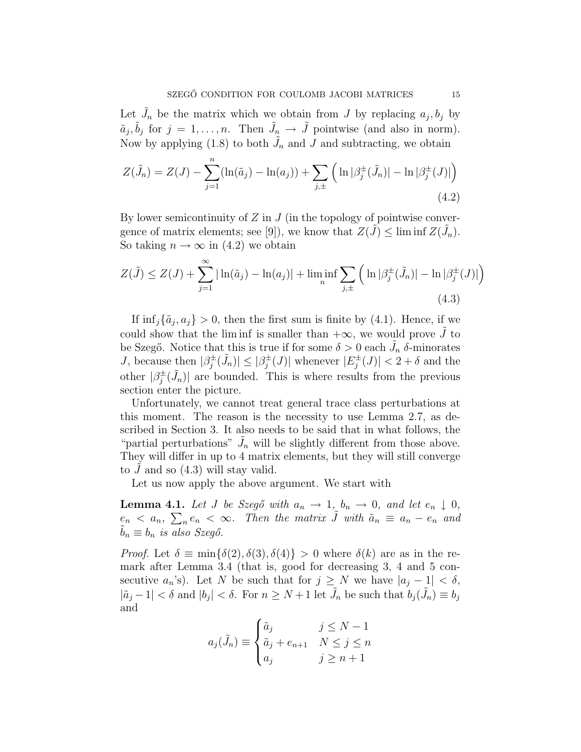Let  $\tilde{J}_n$  be the matrix which we obtain from J by replacing  $a_j, b_j$  by  $\tilde{a}_j, \tilde{b}_j$  for  $j = 1, \ldots, n$ . Then  $\tilde{J}_n \to \tilde{J}$  pointwise (and also in norm). Now by applying (1.8) to both  $\tilde{J}_n$  and J and subtracting, we obtain

$$
Z(\tilde{J}_n) = Z(J) - \sum_{j=1}^n (\ln(\tilde{a}_j) - \ln(a_j)) + \sum_{j,\pm} (\ln |\beta_j^{\pm}(\tilde{J}_n)| - \ln |\beta_j^{\pm}(J)|)
$$
\n(4.2)

By lower semicontinuity of  $Z$  in  $J$  (in the topology of pointwise convergence of matrix elements; see [9]), we know that  $Z(\tilde{J}) \leq \liminf Z(\tilde{J}_n)$ . So taking  $n \to \infty$  in (4.2) we obtain

$$
Z(\tilde{J}) \le Z(J) + \sum_{j=1}^{\infty} |\ln(\tilde{a}_j) - \ln(a_j)| + \liminf_{n} \sum_{j,\pm} \left( \ln |\beta_j^{\pm}(\tilde{J}_n)| - \ln |\beta_j^{\pm}(J)| \right)
$$
\n(4.3)

If  $\inf_j {\tilde{a}_j, a_j} > 0$ , then the first sum is finite by (4.1). Hence, if we could show that the liminf is smaller than  $+\infty$ , we would prove J to be Szegő. Notice that this is true if for some  $\delta > 0$  each  $\tilde{J}_n$   $\delta$ -minorates J, because then  $|\beta_i^{\pm}|$  $|\tilde{j}(\tilde{j}_n)| \leq |\beta_j^{\pm}|$  $\frac{1}{j}(J)|$  whenever  $|E_j^{\pm}|$  $\vert j^{\pm}(J) \vert < 2 + \delta$  and the other  $|\beta_i^{\pm}|$  $\langle \dot{J}_n \rangle$  are bounded. This is where results from the previous section enter the picture.

Unfortunately, we cannot treat general trace class perturbations at this moment. The reason is the necessity to use Lemma 2.7, as described in Section 3. It also needs to be said that in what follows, the "partial perturbations"  $\tilde{J}_n$  will be slightly different from those above. They will differ in up to 4 matrix elements, but they will still converge to  $J$  and so  $(4.3)$  will stay valid.

Let us now apply the above argument. We start with

**Lemma 4.1.** Let J be Szegő with  $a_n \to 1$ ,  $b_n \to 0$ , and let  $e_n \downarrow 0$ ,  $e_n < a_n$ ,  $\sum_n e_n < \infty$ . Then the matrix  $\tilde{J}$  with  $\tilde{a}_n \equiv a_n - e_n$  and  $b_n \equiv b_n$  is also Szegő.

*Proof.* Let  $\delta \equiv \min{\{\delta(2), \delta(3), \delta(4)\}} > 0$  where  $\delta(k)$  are as in the remark after Lemma 3.4 (that is, good for decreasing 3, 4 and 5 consecutive  $a_n$ 's). Let N be such that for  $j \geq N$  we have  $|a_j - 1| < \delta$ ,  $|\tilde{a}_j - 1| < \delta$  and  $|b_j| < \delta$ . For  $n \geq N + 1$  let  $\tilde{J}_n$  be such that  $b_j(\tilde{J}_n) \equiv b_j$ and  $\overline{a}$ 

$$
a_j(\tilde{J}_n) \equiv \begin{cases} \tilde{a}_j & j \le N - 1 \\ \tilde{a}_j + e_{n+1} & N \le j \le n \\ a_j & j \ge n + 1 \end{cases}
$$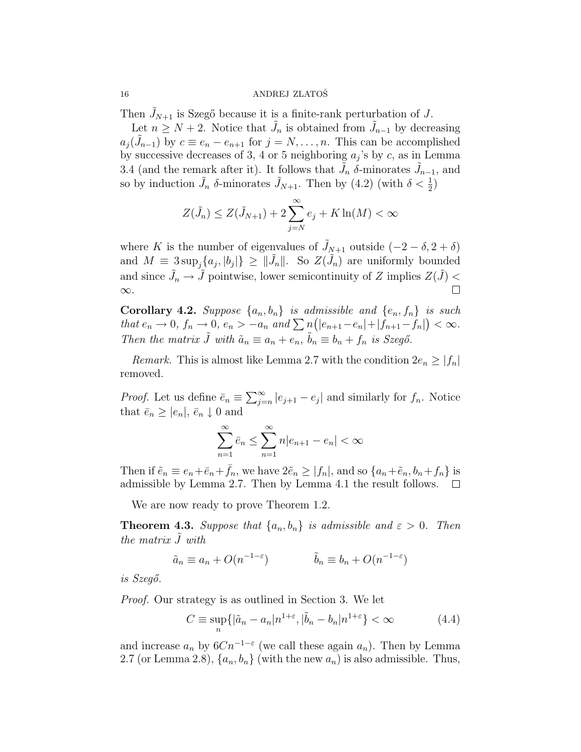Then  $J_{N+1}$  is Szegő because it is a finite-rank perturbation of J.

Let  $n \geq N+2$ . Notice that  $\tilde{J}_n$  is obtained from  $\tilde{J}_{n-1}$  by decreasing  $a_j(\tilde{J}_{n-1})$  by  $c \equiv e_n - e_{n+1}$  for  $j = N, \ldots, n$ . This can be accomplished by successive decreases of 3, 4 or 5 neighboring  $a_j$ 's by c, as in Lemma 3.4 (and the remark after it). It follows that  $\tilde{J}_n$   $\delta$ -minorates  $\tilde{J}_{n-1}$ , and so by induction  $\tilde{J}_n$   $\delta$ -minorates  $\tilde{J}_{N+1}$ . Then by  $(4.2)$  (with  $\delta < \frac{1}{2}$ )

$$
Z(\tilde{J}_n) \le Z(\tilde{J}_{N+1}) + 2\sum_{j=N}^{\infty} e_j + K \ln(M) < \infty
$$

where K is the number of eigenvalues of  $J_{N+1}$  outside  $(-2 - \delta, 2 + \delta)$ and  $M \equiv 3 \sup_j \{a_j, |b_j|\} \geq ||\tilde{J}_n||$ . So  $Z(\tilde{J}_n)$  are uniformly bounded and since  $\tilde{J}_n \to \tilde{J}$  pointwise, lower semicontinuity of Z implies  $Z(\tilde{J})$  <  $\Box$ ∞.

**Corollary 4.2.** Suppose  $\{a_n, b_n\}$  is admissible and  $\{e_n, f_n\}$  is such Coronary 4.2. Suppose  $\{a_n, o_n\}$  is damissione and  $\{e_n, f_n\}$  is such<br>that  $e_n \to 0$ ,  $f_n \to 0$ ,  $e_n > -a_n$  and  $\sum n(|e_{n+1}-e_n|+|f_{n+1}-f_n|) < \infty$ . Then the matrix  $\tilde{J}$  with  $\tilde{a}_n \equiv a_n + e_n$ ,  $\tilde{b}_n \equiv b_n + f_n$  is Szegő.

Remark. This is almost like Lemma 2.7 with the condition  $2e_n \ge |f_n|$ removed.

*Proof.* Let us define  $\bar{e}_n \equiv \sum_{j=1}^{\infty}$  $\sum_{j=n}^{\infty} |e_{j+1} - e_j|$  and similarly for  $f_n$ . Notice that  $\bar{e}_n \geq |e_n|, \bar{e}_n \downarrow 0$  and

$$
\sum_{n=1}^{\infty} \bar{e}_n \le \sum_{n=1}^{\infty} n|e_{n+1} - e_n| < \infty
$$

Then if  $\tilde{e}_n \equiv e_n + \bar{e}_n + \bar{f}_n$ , we have  $2\tilde{e}_n \geq |f_n|$ , and so  $\{a_n + \tilde{e}_n, b_n + f_n\}$  is admissible by Lemma 2.7. Then by Lemma 4.1 the result follows.  $\Box$ 

We are now ready to prove Theorem 1.2.

**Theorem 4.3.** Suppose that  $\{a_n, b_n\}$  is admissible and  $\varepsilon > 0$ . Then the matrix  $\tilde{J}$  with

$$
\tilde{a}_n \equiv a_n + O(n^{-1-\varepsilon}) \qquad \qquad \tilde{b}_n \equiv b_n + O(n^{-1-\varepsilon})
$$

is  $Szeg\acute{o}$ .

Proof. Our strategy is as outlined in Section 3. We let

$$
C \equiv \sup_{n} \{ |\tilde{a}_n - a_n| n^{1+\varepsilon}, |\tilde{b}_n - b_n| n^{1+\varepsilon} \} < \infty
$$
 (4.4)

and increase  $a_n$  by  $6Cn^{-1-\epsilon}$  (we call these again  $a_n$ ). Then by Lemma 2.7 (or Lemma 2.8),  $\{a_n, b_n\}$  (with the new  $a_n$ ) is also admissible. Thus,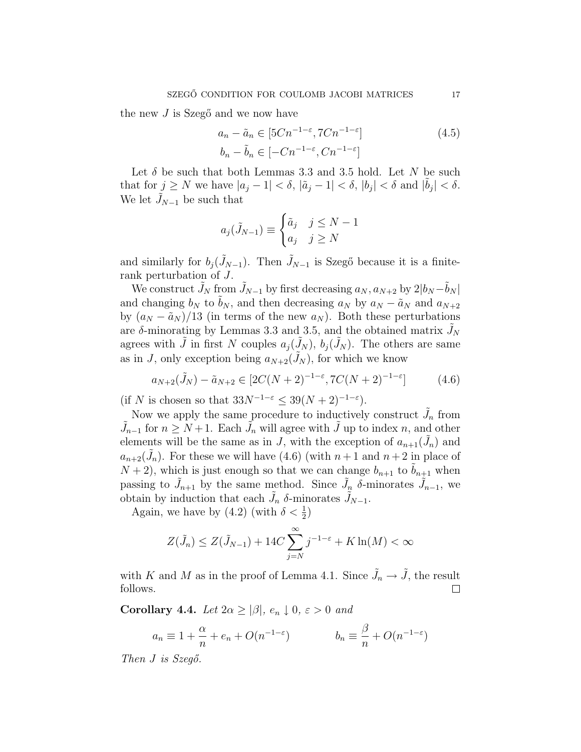the new  $J$  is Szegő and we now have

$$
a_n - \tilde{a}_n \in [5Cn^{-1-\epsilon}, 7Cn^{-1-\epsilon}]
$$
  
\n
$$
b_n - \tilde{b}_n \in [-Cn^{-1-\epsilon}, Cn^{-1-\epsilon}]
$$
\n(4.5)

Let  $\delta$  be such that both Lemmas 3.3 and 3.5 hold. Let N be such that for  $j \ge N$  we have  $|a_j - 1| < \delta$ ,  $|\tilde{a}_j - 1| < \delta$ ,  $|b_j| < \delta$  and  $|\tilde{b}_j| < \delta$ . We let  $J_{N-1}$  be such that

$$
a_j(\tilde{J}_{N-1}) \equiv \begin{cases} \tilde{a}_j & j \le N-1 \\ a_j & j \ge N \end{cases}
$$

and similarly for  $b_i(\tilde{J}_{N-1})$ . Then  $\tilde{J}_{N-1}$  is Szegő because it is a finiterank perturbation of J.

We construct  $\tilde{J}_N$  from  $\tilde{J}_{N-1}$  by first decreasing  $a_N, a_{N+2}$  by  $2|b_N-\tilde{b}_N|$ and changing  $b_N$  to  $b_N$ , and then decreasing  $a_N$  by  $a_N - \tilde{a}_N$  and  $a_{N+2}$ by  $(a_N - \tilde{a}_N)/13$  (in terms of the new  $a_N$ ). Both these perturbations are  $\delta$ -minorating by Lemmas 3.3 and 3.5, and the obtained matrix  $J_N$ agrees with  $\tilde{J}$  in first N couples  $a_j(\tilde{J}_N)$ ,  $b_j(\tilde{J}_N)$ . The others are same as in J, only exception being  $a_{N+2}(J_N)$ , for which we know

$$
a_{N+2}(\tilde{J}_N) - \tilde{a}_{N+2} \in [2C(N+2)^{-1-\epsilon}, 7C(N+2)^{-1-\epsilon}] \tag{4.6}
$$

(if N is chosen so that  $33N^{-1-\epsilon} \leq 39(N+2)^{-1-\epsilon}$ ).

Now we apply the same procedure to inductively construct  $\tilde{J}_n$  from  $\tilde{J}_{n-1}$  for  $n \geq N+1$ . Each  $\tilde{J}_n$  will agree with  $\tilde{J}$  up to index n, and other elements will be the same as in J, with the exception of  $a_{n+1}(\tilde{J}_n)$  and  $a_{n+2}(\tilde{J}_n)$ . For these we will have (4.6) (with  $n+1$  and  $n+2$  in place of  $N + 2$ , which is just enough so that we can change  $b_{n+1}$  to  $\tilde{b}_{n+1}$  when passing to  $\tilde{J}_{n+1}$  by the same method. Since  $\tilde{J}_n$   $\delta$ -minorates  $\tilde{J}_{n-1}$ , we obtain by induction that each  $\tilde{J}_n$   $\delta$ -minorates  $\tilde{J}_{N-1}$ .

Again, we have by (4.2) (with  $\delta < \frac{1}{2}$ )

$$
Z(\tilde{J}_n) \le Z(\tilde{J}_{N-1}) + 14C \sum_{j=N}^{\infty} j^{-1-\varepsilon} + K \ln(M) < \infty
$$

with K and M as in the proof of Lemma 4.1. Since  $\tilde{J}_n \to \tilde{J}$ , the result follows.  $\Box$ 

Corollary 4.4. Let  $2\alpha \geq |\beta|, e_n \downarrow 0, \varepsilon > 0$  and

$$
a_n \equiv 1 + \frac{\alpha}{n} + e_n + O(n^{-1-\varepsilon}) \qquad \qquad b_n \equiv \frac{\beta}{n} + O(n^{-1-\varepsilon})
$$

Then  $J$  is  $Szeq\delta$ .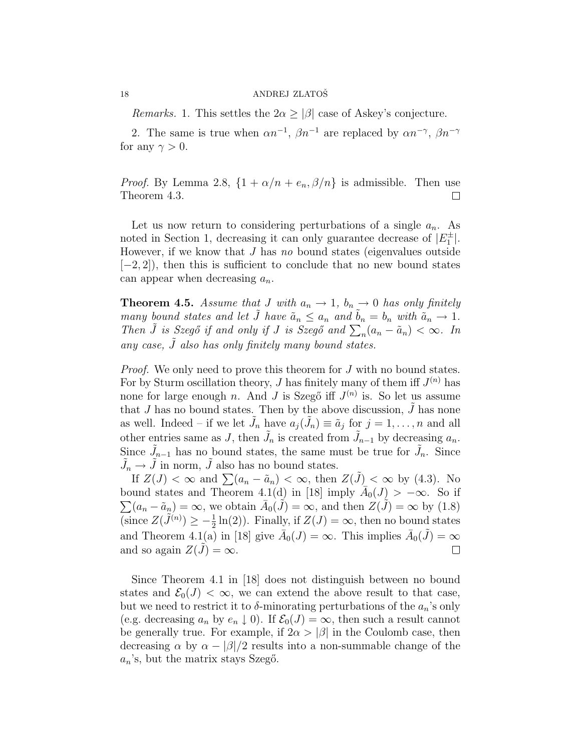*Remarks.* 1. This settles the  $2\alpha \geq |\beta|$  case of Askey's conjecture.

2. The same is true when  $\alpha n^{-1}$ ,  $\beta n^{-1}$  are replaced by  $\alpha n^{-\gamma}$ ,  $\beta n^{-\gamma}$ for any  $\gamma > 0$ .

*Proof.* By Lemma 2.8,  $\{1 + \alpha/n + e_n, \beta/n\}$  is admissible. Then use Theorem 4.3.  $\Box$ 

Let us now return to considering perturbations of a single  $a_n$ . As noted in Section 1, decreasing it can only guarantee decrease of  $|E_1^{\pm}|$ . However, if we know that  $J$  has no bound states (eigenvalues outside  $[-2, 2]$ , then this is sufficient to conclude that no new bound states can appear when decreasing  $a_n$ .

**Theorem 4.5.** Assume that J with  $a_n \to 1$ ,  $b_n \to 0$  has only finitely many bound states and let  $\tilde{J}$  have  $\tilde{a}_n \le a_n$  and  $\tilde{b}_n = b_n$  with  $\tilde{a}_n \to 1$ . many bound states and tet *J* have  $a_n \le a_n$  and  $b_n = b_n$  with  $a_n \to 1$ .<br>Then  $\tilde{J}$  is Szegő if and only if *J* is Szegő and  $\sum_n (a_n - \tilde{a}_n) < \infty$ . In any case,  $\tilde{J}$  also has only finitely many bound states.

*Proof.* We only need to prove this theorem for J with no bound states. For by Sturm oscillation theory, J has finitely many of them iff  $J^{(n)}$  has none for large enough n. And J is Szegő iff  $J^{(n)}$  is. So let us assume that J has no bound states. Then by the above discussion,  $\tilde{J}$  has none as well. Indeed – if we let  $\tilde{J}_n$  have  $a_j(\tilde{J}_n) \equiv \tilde{a}_j$  for  $j = 1, \ldots, n$  and all other entries same as J, then  $\tilde{J}_n$  is created from  $\tilde{J}_{n-1}$  by decreasing  $a_n$ . Since  $\tilde{J}_{n-1}$  has no bound states, the same must be true for  $\tilde{J}_n$ . Since  $\tilde{J}_n \to \tilde{J}$  in norm,  $\tilde{J}$  also has no bound states.

If  $Z(J) < \infty$  and  $\sum (a_n - \tilde{a}_n) < \infty$ , then  $Z(\tilde{J}) < \infty$  by (4.3). No bound states and Theorem 4.1(d) in [18] imply  $\overline{A}_0(J) > -\infty$ . So if  $(a_n - \tilde{a}_n) = \infty$ , we obtain  $\bar{A}_0(\tilde{J}) = \infty$ , and then  $Z(\tilde{J}) = \infty$  by (1.8) (since  $Z(\tilde{J}^{(n)}) \geq -\frac{1}{2}\ln(2)$ ). Finally, if  $Z(J) = \infty$ , then no bound states and Theorem 4.1(a) in [18] give  $\bar{A}_0(J) = \infty$ . This implies  $\bar{A}_0(\tilde{J}) = \infty$ and so again  $Z(J) = \infty$ .  $\Box$ 

Since Theorem 4.1 in [18] does not distinguish between no bound states and  $\mathcal{E}_0(J) < \infty$ , we can extend the above result to that case, but we need to restrict it to  $\delta$ -minorating perturbations of the  $a_n$ 's only (e.g. decreasing  $a_n$  by  $e_n \downarrow 0$ ). If  $\mathcal{E}_0(J) = \infty$ , then such a result cannot be generally true. For example, if  $2\alpha > |\beta|$  in the Coulomb case, then decreasing  $\alpha$  by  $\alpha - |\beta|/2$  results into a non-summable change of the  $a_n$ 's, but the matrix stays Szegő.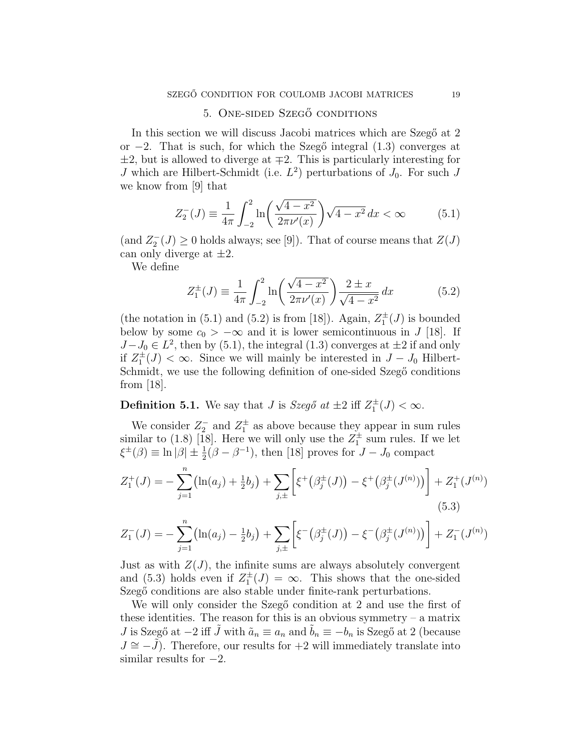## 5. ONE-SIDED SZEGŐ CONDITIONS

In this section we will discuss Jacobi matrices which are Szegő at 2 or  $-2$ . That is such, for which the Szegő integral (1.3) converges at  $\pm 2$ , but is allowed to diverge at  $\mp 2$ . This is particularly interesting for J which are Hilbert-Schmidt (i.e.  $L^2$ ) perturbations of  $J_0$ . For such J we know from [9] that

$$
Z_2^-(J) \equiv \frac{1}{4\pi} \int_{-2}^2 \ln\left(\frac{\sqrt{4-x^2}}{2\pi\nu'(x)}\right) \sqrt{4-x^2} \, dx < \infty \tag{5.1}
$$

(and  $Z_2^{-}(J) \geq 0$  holds always; see [9]). That of course means that  $Z(J)$ can only diverge at  $\pm 2$ .

We define

$$
Z_1^{\pm}(J) \equiv \frac{1}{4\pi} \int_{-2}^{2} \ln\left(\frac{\sqrt{4-x^2}}{2\pi\nu'(x)}\right) \frac{2 \pm x}{\sqrt{4-x^2}} dx \tag{5.2}
$$

(the notation in (5.1) and (5.2) is from [18]). Again,  $Z_1^{\pm}(J)$  is bounded below by some  $c_0 > -\infty$  and it is lower semicontinuous in J [18]. If  $J-J_0 \in L^2$ , then by (5.1), the integral (1.3) converges at  $\pm 2$  if and only if  $Z_1^{\pm}(J) < \infty$ . Since we will mainly be interested in  $J - J_0$  Hilbert-Schmidt, we use the following definition of one-sided Szegő conditions from [18].

**Definition 5.1.** We say that *J* is *Szegő* at  $\pm 2$  iff  $Z_1^{\pm}(J) < \infty$ .

We consider  $Z_2^-$  and  $Z_1^{\pm}$  as above because they appear in sum rules similar to (1.8) [18]. Here we will only use the  $Z_1^{\pm}$  sum rules. If we let  $\xi^{\pm}(\beta) \equiv \ln |\beta| \pm \frac{1}{2}(\beta - \beta^{-1}),$  then [18] proves for  $J - J_0$  compact  $\frac{n}{\sqrt{2}}$  $\overline{\phantom{a}}$ · ¸

$$
Z_1^+(J) = -\sum_{j=1}^n \left(\ln(a_j) + \frac{1}{2}b_j\right) + \sum_{j,\pm} \left[\xi^+\left(\beta_j^{\pm}(J)\right) - \xi^+\left(\beta_j^{\pm}(J^{(n)})\right)\right] + Z_1^+(J^{(n)})\tag{5.3}
$$

$$
Z_1^-(J) = -\sum_{j=1}^n \left(\ln(a_j) - \frac{1}{2}b_j\right) + \sum_{j,\pm} \left[\xi^-(\beta_j^{\pm}(J)) - \xi^-(\beta_j^{\pm}(J^{(n)}))\right] + Z_1^-(J^{(n)})
$$

Just as with  $Z(J)$ , the infinite sums are always absolutely convergent and (5.3) holds even if  $Z_1^{\pm}(J) = \infty$ . This shows that the one-sided Szegő conditions are also stable under finite-rank perturbations.

We will only consider the Szegő condition at 2 and use the first of these identities. The reason for this is an obvious symmetry  $-$  a matrix J is Szegő at −2 iff  $\tilde{J}$  with  $\tilde{a}_n \equiv a_n$  and  $\tilde{b}_n \equiv -b_n$  is Szegő at 2 (because  $J \cong -J$ ). Therefore, our results for  $+2$  will immediately translate into similar results for  $-2$ .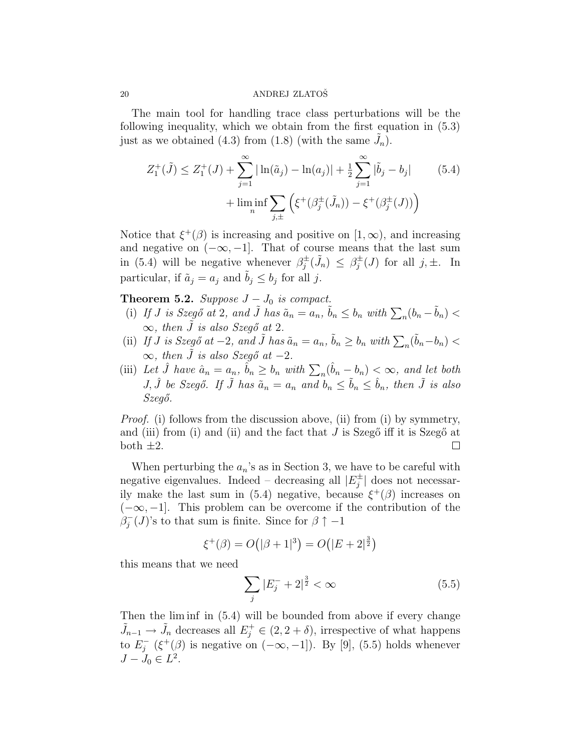The main tool for handling trace class perturbations will be the following inequality, which we obtain from the first equation in (5.3) just as we obtained (4.3) from (1.8) (with the same  $\tilde{J}_n$ ).

$$
Z_1^+(\tilde{J}) \le Z_1^+(J) + \sum_{j=1}^{\infty} |\ln(\tilde{a}_j) - \ln(a_j)| + \frac{1}{2} \sum_{j=1}^{\infty} |\tilde{b}_j - b_j| \qquad (5.4)
$$

$$
+ \liminf_{n} \sum_{j,\pm} \left( \xi^+(\beta_j^{\pm}(\tilde{J}_n)) - \xi^+(\beta_j^{\pm}(J)) \right)
$$

Notice that  $\xi^+(\beta)$  is increasing and positive on  $[1,\infty)$ , and increasing and negative on  $(-\infty, -1]$ . That of course means that the last sum in (5.4) will be negative whenever  $\beta_i^{\pm}$  $\beta_j^{\pm}(\tilde{J}_n) \leq \beta_j^{\pm}$  $j_i^{\pm}(J)$  for all  $j, \pm$ . In particular, if  $\tilde{a}_j = a_j$  and  $\tilde{b}_j \leq b_j$  for all j.

Theorem 5.2. Suppose  $J-J_0$  is compact.

- (i) If J is Szegő at 2, and  $\tilde{J}$  has  $\tilde{a}_n = a_n$ ,  $\tilde{b}_n \leq b_n$  with  $\sum_n (b_n \tilde{b}_n)$  <  $\infty$ , then  $\tilde{J}$  is also Szegő at 2.
- (ii) If J is Szegő at -2, and  $\tilde{J}$  has  $\tilde{a}_n = a_n$ ,  $\tilde{b}_n \ge b_n$  with  $\sum_n (\tilde{b}_n b_n) <$  $\infty$ , then  $\tilde{J}$  is also Szegő at -2.
- (iii) Let  $\hat{J}$  have  $\hat{a}_n = a_n$ ,  $\hat{b}_n \ge b_n$  with  $\sum_n (\hat{b}_n b_n) < \infty$ , and let both J,  $\hat{J}$  be Szegő. If  $\tilde{J}$  has  $\tilde{a}_n = a_n$  and  $b_n \leq \tilde{b}_n \leq \hat{b}_n$ , then  $\tilde{J}$  is also  $Szeg\H{o}$ .

Proof. (i) follows from the discussion above, (ii) from (i) by symmetry, and (iii) from (i) and (ii) and the fact that  $J$  is Szeg $\ddot{o}$  iff it is Szeg $\ddot{o}$  at both  $\pm 2$ .  $\Box$ 

When perturbing the  $a_n$ 's as in Section 3, we have to be careful with negative eigenvalues. Indeed – decreasing all  $|E_i^{\pm}|$  $j^{\pm}$  does not necessarily make the last sum in (5.4) negative, because  $\xi^+(\beta)$  increases on  $(-\infty, -1]$ . This problem can be overcome if the contribution of the  $\beta_i^$  $j^-(J)$ 's to that sum is finite. Since for  $\beta \uparrow -1$ 

$$
\xi^+(\beta) = O(|\beta + 1|^3) = O(|E + 2|^{\frac{3}{2}})
$$

this means that we need

$$
\sum_{j} |E_{j}^{-} + 2|_{2}^{\frac{3}{2}} < \infty \tag{5.5}
$$

Then the lim inf in (5.4) will be bounded from above if every change  $\tilde{J}_{n-1} \to \tilde{J}_n$  decreases all  $E_j^+ \in (2, 2 + \delta)$ , irrespective of what happens to  $E_i^$  $j^-(\xi^+(\beta))$  is negative on  $(-\infty, -1]$ ). By [9], (5.5) holds whenever  $J - J_0 \in L^2$ .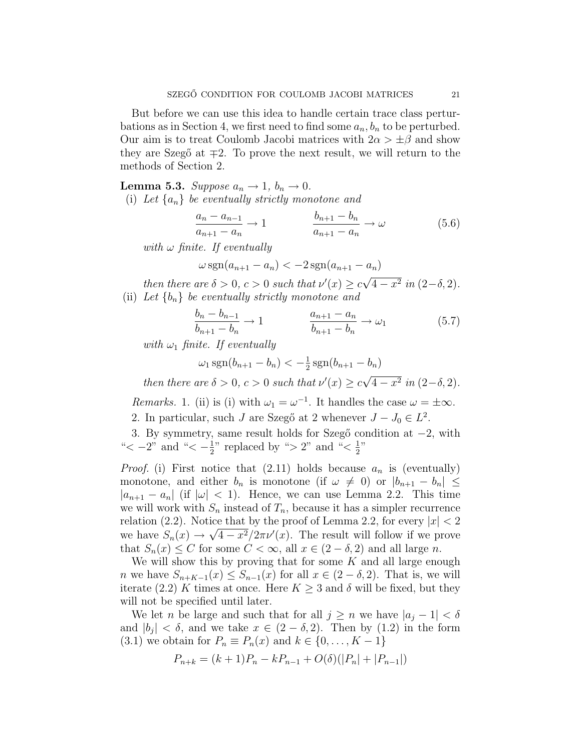But before we can use this idea to handle certain trace class perturbations as in Section 4, we first need to find some  $a_n, b_n$  to be perturbed. Our aim is to treat Coulomb Jacobi matrices with  $2\alpha > \pm \beta$  and show they are Szegő at  $\mp 2$ . To prove the next result, we will return to the methods of Section 2.

**Lemma 5.3.** Suppose  $a_n \to 1$ ,  $b_n \to 0$ . (i) Let  $\{a_n\}$  be eventually strictly monotone and

$$
\frac{a_n - a_{n-1}}{a_{n+1} - a_n} \to 1 \qquad \frac{b_{n+1} - b_n}{a_{n+1} - a_n} \to \omega \qquad (5.6)
$$

with  $\omega$  finite. If eventually

$$
\omega \operatorname{sgn}(a_{n+1} - a_n) < -2 \operatorname{sgn}(a_{n+1} - a_n)
$$

then there are  $\delta > 0$ ,  $c > 0$  such that  $\nu'(x) \geq c$  $\overline{4-x^2}$  in  $(2-\delta, 2)$ . (ii) Let  ${b_n}$  be eventually strictly monotone and

$$
\frac{b_n - b_{n-1}}{b_{n+1} - b_n} \to 1 \qquad \frac{a_{n+1} - a_n}{b_{n+1} - b_n} \to \omega_1 \tag{5.7}
$$

with  $\omega_1$  finite. If eventually

$$
\omega_1 \operatorname{sgn}(b_{n+1} - b_n) < -\frac{1}{2} \operatorname{sgn}(b_{n+1} - b_n)
$$

then there are  $\delta > 0$ ,  $c > 0$  such that  $\nu'(x) \geq c$  $\overline{4-x^2}$  in  $(2-\delta, 2)$ .

*Remarks.* 1. (ii) is (i) with  $\omega_1 = \omega^{-1}$ . It handles the case  $\omega = \pm \infty$ .

2. In particular, such J are Szegő at 2 whenever  $J-J_0 \in L^2$ .

3. By symmetry, same result holds for Szegő condition at −2, with " $<-2$ " and " $<-1$  $\frac{1}{2}$ " replaced by "> 2" and "<  $\frac{1}{2}$  $\frac{1}{2}$ "

*Proof.* (i) First notice that  $(2.11)$  holds because  $a_n$  is (eventually) monotone, and either  $b_n$  is monotone (if  $\omega \neq 0$ ) or  $|b_{n+1} - b_n| \leq$  $|a_{n+1} - a_n|$  (if  $|\omega| < 1$ ). Hence, we can use Lemma 2.2. This time we will work with  $S_n$  instead of  $T_n$ , because it has a simpler recurrence relation (2.2). Notice that by the proof of Lemma 2.2, for every  $|x| < 2$ we have  $S_n(x) \to \sqrt{4-x^2}/2\pi \nu'(x)$ . The result will follow if we prove that  $S_n(x) \leq C$  for some  $C < \infty$ , all  $x \in (2 - \delta, 2)$  and all large n.

We will show this by proving that for some  $K$  and all large enough *n* we have  $S_{n+K-1}(x) \leq S_{n-1}(x)$  for all  $x \in (2-\delta,2)$ . That is, we will iterate (2.2) K times at once. Here  $K \geq 3$  and  $\delta$  will be fixed, but they will not be specified until later.

We let n be large and such that for all  $j \geq n$  we have  $|a_j - 1| < \delta$ and  $|b_j| < \delta$ , and we take  $x \in (2-\delta, 2)$ . Then by  $(1.2)$  in the form (3.1) we obtain for  $P_n \equiv P_n(x)$  and  $k \in \{0, \ldots, K-1\}$ 

$$
P_{n+k} = (k+1)P_n - kP_{n-1} + O(\delta)(|P_n| + |P_{n-1}|)
$$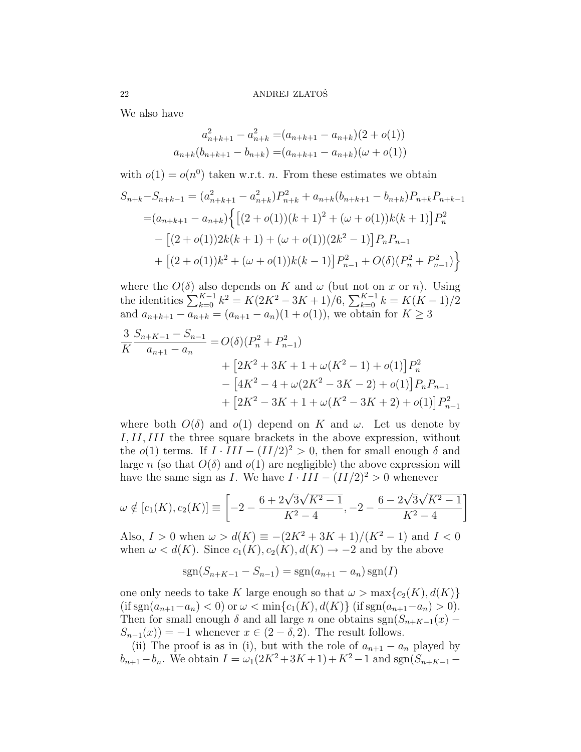We also have

$$
a_{n+k+1}^2 - a_{n+k}^2 = (a_{n+k+1} - a_{n+k})(2 + o(1))
$$
  

$$
a_{n+k}(b_{n+k+1} - b_{n+k}) = (a_{n+k+1} - a_{n+k})(\omega + o(1))
$$

with  $o(1) = o(n^0)$  taken w.r.t. *n*. From these estimates we obtain

$$
S_{n+k} - S_{n+k-1} = (a_{n+k+1}^2 - a_{n+k}^2)P_{n+k}^2 + a_{n+k}(b_{n+k+1} - b_{n+k})P_{n+k}P_{n+k-1}
$$
  
=  $(a_{n+k+1} - a_{n+k}) \left\{ \left[ (2+o(1))(k+1)^2 + (\omega + o(1))k(k+1) \right] P_n^2 - \left[ (2+o(1))2k(k+1) + (\omega + o(1))(2k^2 - 1) \right] P_n P_{n-1} + \left[ (2+o(1))k^2 + (\omega + o(1))k(k-1) \right] P_{n-1}^2 + O(\delta)(P_n^2 + P_{n-1}^2) \right\}$ 

where the  $O(\delta)$  also depends on K and  $\omega$  (but not on x or n). Using where the  $O(0)$  also depends on K and  $\omega$  (but not on x or n). Osing<br>the identities  $\sum_{k=0}^{K-1} k^2 = K(2K^2 - 3K + 1)/6$ ,  $\sum_{k=0}^{K-1} k = K(K-1)/2$ and  $a_{n+k+1} - a_{n+k} = (a_{n+1} - a_n)(1 + o(1))$ , we obtain for  $K \geq 3$ 

$$
\frac{3}{K} \frac{S_{n+K-1} - S_{n-1}}{a_{n+1} - a_n} = O(\delta)(P_n^2 + P_{n-1}^2)
$$
  
+ 
$$
\left[2K^2 + 3K + 1 + \omega(K^2 - 1) + o(1)\right]P_n^2
$$
  
- 
$$
\left[4K^2 - 4 + \omega(2K^2 - 3K - 2) + o(1)\right]P_nP_{n-1}
$$
  
+ 
$$
\left[2K^2 - 3K + 1 + \omega(K^2 - 3K + 2) + o(1)\right]P_{n-1}^2
$$

where both  $O(\delta)$  and  $o(1)$  depend on K and  $\omega$ . Let us denote by I, II, III the three square brackets in the above expression, without the  $o(1)$  terms. If  $I \cdot III - (II/2)^2 > 0$ , then for small enough  $\delta$  and large n (so that  $O(\delta)$  and  $o(1)$  are negligible) the above expression will have the same sign as I. We have  $I \cdot III - (II/2)^2 > 0$  whenever

$$
\omega \notin [c_1(K), c_2(K)] \equiv \left[ -2 - \frac{6 + 2\sqrt{3}\sqrt{K^2 - 1}}{K^2 - 4}, -2 - \frac{6 - 2\sqrt{3}\sqrt{K^2 - 1}}{K^2 - 4} \right]
$$

Also,  $I > 0$  when  $\omega > d(K) \equiv -(2K^2 + 3K + 1)/(K^2 - 1)$  and  $I < 0$ when  $\omega < d(K)$ . Since  $c_1(K), c_2(K), d(K) \rightarrow -2$  and by the above

$$
sgn(S_{n+K-1} - S_{n-1}) = sgn(a_{n+1} - a_n) sgn(I)
$$

one only needs to take K large enough so that  $\omega > \max\{c_2(K), d(K)\}\$  $(\text{if } \text{sgn}(a_{n+1}-a_n) < 0) \text{ or } \omega < \min\{c_1(K), d(K)\} \text{ (if } \text{sgn}(a_{n+1}-a_n) > 0).$ Then for small enough  $\delta$  and all large n one obtains sgn( $S_{n+K-1}(x)$  –  $S_{n-1}(x) = -1$  whenever  $x \in (2 - \delta, 2)$ . The result follows.

(ii) The proof is as in (i), but with the role of  $a_{n+1} - a_n$  played by  $b_{n+1}-b_n$ . We obtain  $I = \omega_1(2K^2+3K+1)+K^2-1$  and sgn $(S_{n+K-1}-$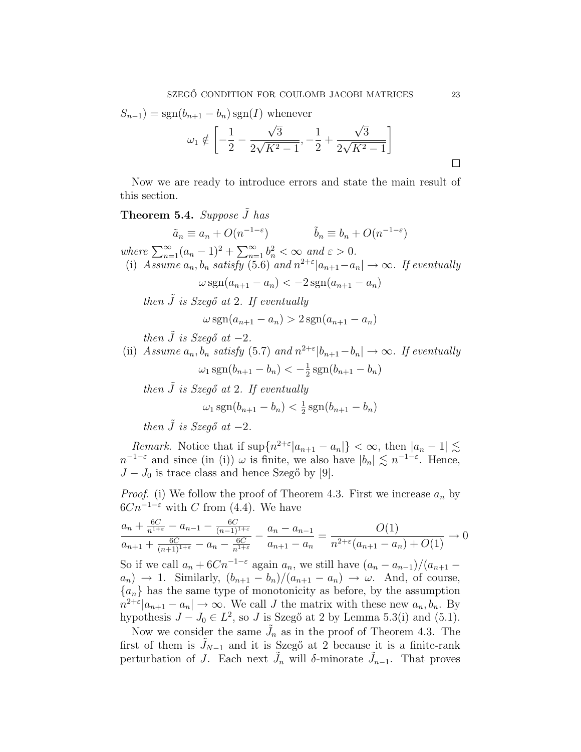$$
S_{n-1}) = \text{sgn}(b_{n+1} - b_n) \text{sgn}(I) \text{ whenever }
$$

$$
\omega_1 \notin \left[ -\frac{1}{2} - \frac{\sqrt{3}}{2\sqrt{K^2 - 1}}, -\frac{1}{2} + \frac{\sqrt{3}}{2\sqrt{K^2 - 1}} \right]
$$

Now we are ready to introduce errors and state the main result of this section.

# **Theorem 5.4.** Suppose  $\tilde{J}$  has

 $\tilde{a}_n \equiv a_n + O(n^{-1-\varepsilon})$   $\tilde{b}_n \equiv b_n + O(n^{-1-\varepsilon})$ where  $\sum_{n=1}^{\infty} (a_n - 1)^2 + \sum_{n=1}^{\infty}$  $\sum_{n=1}^{\infty} b_n^2 < \infty$  and  $\varepsilon > 0$ . (i) Assume  $a_n$ ,  $b_n$  satisfy (5.6) and  $n^{2+\epsilon} | a_{n+1} - a_n | \to \infty$ . If eventually  $\omega \text{sgn}(a_{n+1} - a_n) < -2 \text{sgn}(a_{n+1} - a_n)$ then  $\tilde{J}$  is Szegő at 2. If eventually  $\omega \text{sgn}(a_{n+1} - a_n) > 2 \text{sgn}(a_{n+1} - a_n)$ then  $\tilde{J}$  is Szegő at -2. (ii) Assume  $a_n$ ,  $b_n$  satisfy (5.7) and  $n^{2+\epsilon} |b_{n+1}-b_n| \to \infty$ . If eventually  $\omega_1 \, \text{sgn}(b_{n+1} - b_n) < -\frac{1}{2}$  $\frac{1}{2}$  sgn( $b_{n+1} - b_n$ ) then  $\tilde{J}$  is Szegő at 2. If eventually  $\omega_1 \,\text{sgn}(b_{n+1} - b_n) < \frac{1}{2}$  $\frac{1}{2}$  sgn( $b_{n+1} - b_n$ )

then  $\tilde{J}$  is Szegő at  $-2$ .

*Remark.* Notice that if  $\sup\{n^{2+\epsilon} | a_{n+1} - a_n | \} < \infty$ , then  $|a_n - 1| \lesssim$  $n^{-1-\varepsilon}$  and since (in (i))  $\omega$  is finite, we also have  $|b_n| \lesssim n^{-1-\varepsilon}$ . Hence,  $J-J_0$  is trace class and hence Szegő by [9].

*Proof.* (i) We follow the proof of Theorem 4.3. First we increase  $a_n$  by  $6Cn^{-1-\epsilon}$  with C from (4.4). We have

$$
\frac{a_n + \frac{6C}{n^{1+\epsilon}} - a_{n-1} - \frac{6C}{(n-1)^{1+\epsilon}}}{a_{n+1} + \frac{6C}{(n+1)^{1+\epsilon}} - a_n - \frac{6C}{n^{1+\epsilon}}} - \frac{a_n - a_{n-1}}{a_{n+1} - a_n} = \frac{O(1)}{n^{2+\epsilon}(a_{n+1} - a_n) + O(1)} \to 0
$$

So if we call  $a_n + 6Cn^{-1-\epsilon}$  again  $a_n$ , we still have  $(a_n - a_{n-1})/(a_{n+1} - a_n)$  $a_n$ )  $\rightarrow$  1. Similarly,  $(b_{n+1} - b_n)/(a_{n+1} - a_n) \rightarrow \omega$ . And, of course,  ${a_n}$  has the same type of monotonicity as before, by the assumption  $n^{2+\epsilon}|a_{n+1}-a_n| \to \infty$ . We call J the matrix with these new  $a_n, b_n$ . By hypothesis  $J - J_0 \in L^2$ , so J is Szegő at 2 by Lemma 5.3(i) and (5.1).

Now we consider the same  $\tilde{J}_n$  as in the proof of Theorem 4.3. The first of them is  $J_{N-1}$  and it is Szegő at 2 because it is a finite-rank perturbation of J. Each next  $\tilde{J}_n$  will  $\delta$ -minorate  $\tilde{J}_{n-1}$ . That proves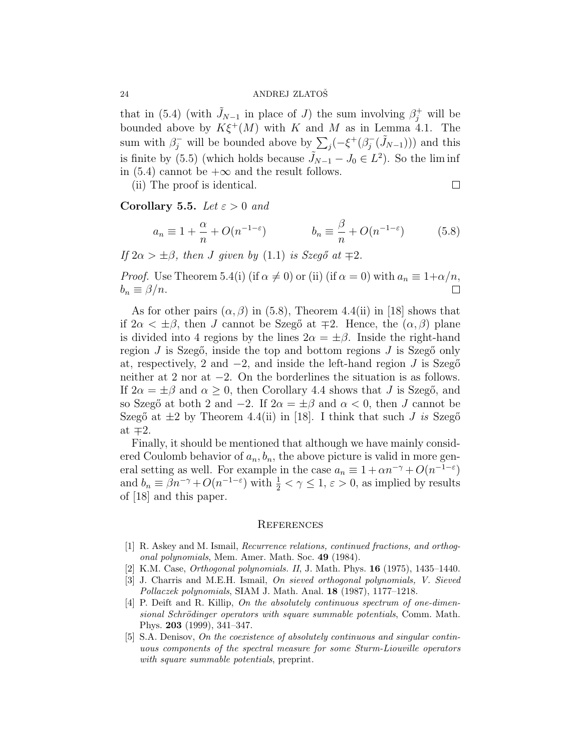that in (5.4) (with  $\tilde{J}_{N-1}$  in place of J) the sum involving  $\beta_j^+$  will be bounded above by  $K\xi^+(M)$  with K and M as in Lemma 4.1. The bounded above by  $K\xi^-(M)$  with  $K$  and  $M$  as in sum with  $\beta_j^-$  will be bounded above by  $\sum_j (-\xi^+(\beta_j^-))$  $(j^-(\tilde{J}_{N-1})))$  and this is finite by (5.5) (which holds because  $\tilde{J}_{N-1} - J_0 \in L^2$ ). So the liminf in (5.4) cannot be  $+\infty$  and the result follows.

(ii) The proof is identical.

 $\Box$ 

Corollary 5.5. Let  $\varepsilon > 0$  and

$$
a_n \equiv 1 + \frac{\alpha}{n} + O(n^{-1-\varepsilon}) \qquad \qquad b_n \equiv \frac{\beta}{n} + O(n^{-1-\varepsilon}) \qquad (5.8)
$$

If  $2\alpha > \pm \beta$ , then J given by (1.1) is Szegő at  $\mp 2$ .

*Proof.* Use Theorem 5.4(i) (if  $\alpha \neq 0$ ) or (ii) (if  $\alpha = 0$ ) with  $a_n \equiv 1 + \alpha/n$ ,  $b_n \equiv \beta/n$ .  $\perp$ 

As for other pairs  $(\alpha, \beta)$  in (5.8), Theorem 4.4(ii) in [18] shows that if  $2\alpha < \pm \beta$ , then J cannot be Szegő at  $\mp 2$ . Hence, the  $(\alpha, \beta)$  plane is divided into 4 regions by the lines  $2\alpha = \pm \beta$ . Inside the right-hand region  $J$  is Szegő, inside the top and bottom regions  $J$  is Szegő only at, respectively, 2 and  $-2$ , and inside the left-hand region J is Szegő neither at 2 nor at −2. On the borderlines the situation is as follows. If  $2\alpha = \pm \beta$  and  $\alpha \geq 0$ , then Corollary 4.4 shows that J is Szegő, and so Szegő at both 2 and  $-2$ . If  $2\alpha = \pm \beta$  and  $\alpha < 0$ , then J cannot be Szegő at  $\pm 2$  by Theorem 4.4(ii) in [18]. I think that such J is Szegő at  $\mp 2$ .

Finally, it should be mentioned that although we have mainly considered Coulomb behavior of  $a_n, b_n$ , the above picture is valid in more general setting as well. For example in the case  $a_n \equiv 1 + \alpha n^{-\gamma} + O(n^{-1-\epsilon})$ and  $b_n \equiv \beta n^{-\gamma} + O(n^{-1-\varepsilon})$  with  $\frac{1}{2} < \gamma \leq 1, \varepsilon > 0$ , as implied by results of [18] and this paper.

#### **REFERENCES**

- [1] R. Askey and M. Ismail, Recurrence relations, continued fractions, and orthogonal polynomials, Mem. Amer. Math. Soc. 49 (1984).
- [2] K.M. Case, Orthogonal polynomials. II, J. Math. Phys. 16 (1975), 1435–1440.
- [3] J. Charris and M.E.H. Ismail, On sieved orthogonal polynomials, V. Sieved Pollaczek polynomials, SIAM J. Math. Anal. 18 (1987), 1177–1218.
- [4] P. Deift and R. Killip, On the absolutely continuous spectrum of one-dimensional Schrödinger operators with square summable potentials, Comm. Math. Phys. 203 (1999), 341–347.
- [5] S.A. Denisov, On the coexistence of absolutely continuous and singular continuous components of the spectral measure for some Sturm-Liouville operators with square summable potentials, preprint.